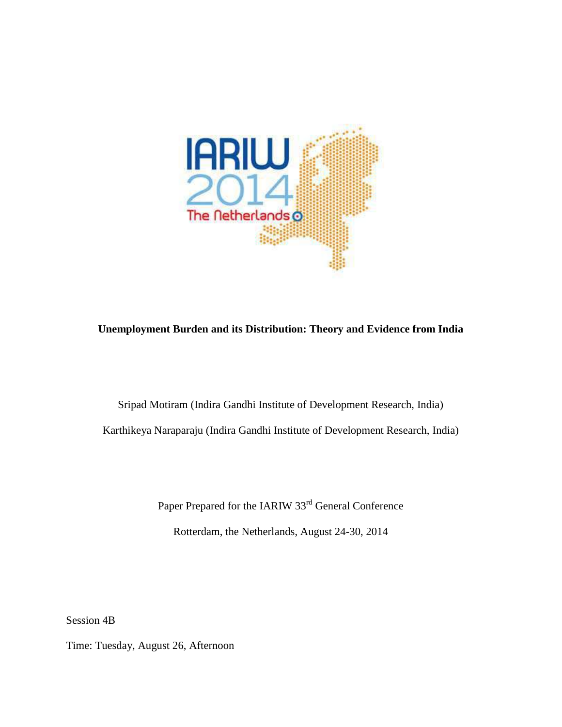

## **Unemployment Burden and its Distribution: Theory and Evidence from India**

Sripad Motiram (Indira Gandhi Institute of Development Research, India) Karthikeya Naraparaju (Indira Gandhi Institute of Development Research, India)

Paper Prepared for the IARIW 33<sup>rd</sup> General Conference

Rotterdam, the Netherlands, August 24-30, 2014

Session 4B

Time: Tuesday, August 26, Afternoon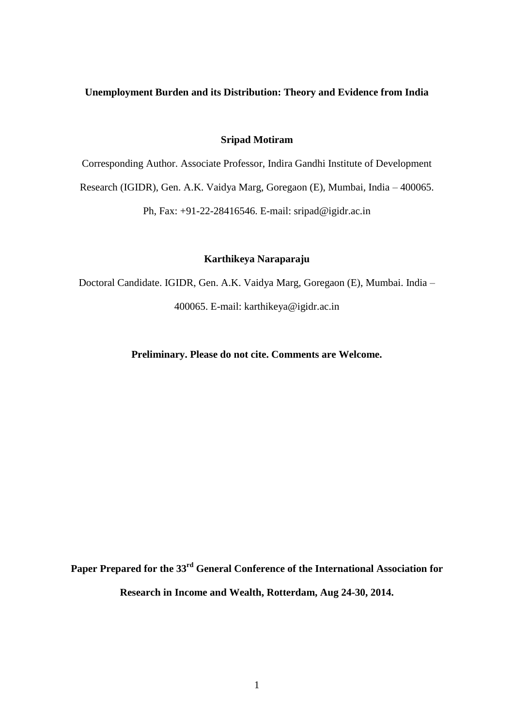### **Unemployment Burden and its Distribution: Theory and Evidence from India**

### **Sripad Motiram**

Corresponding Author. Associate Professor, Indira Gandhi Institute of Development

Research (IGIDR), Gen. A.K. Vaidya Marg, Goregaon (E), Mumbai, India – 400065.

Ph, Fax: +91-22-28416546. E-mail: sripad@igidr.ac.in

## **Karthikeya Naraparaju**

Doctoral Candidate. IGIDR, Gen. A.K. Vaidya Marg, Goregaon (E), Mumbai. India – 400065. E-mail: karthikeya@igidr.ac.in

**Preliminary. Please do not cite. Comments are Welcome.**

**Paper Prepared for the 33 rd General Conference of the International Association for Research in Income and Wealth, Rotterdam, Aug 24-30, 2014.**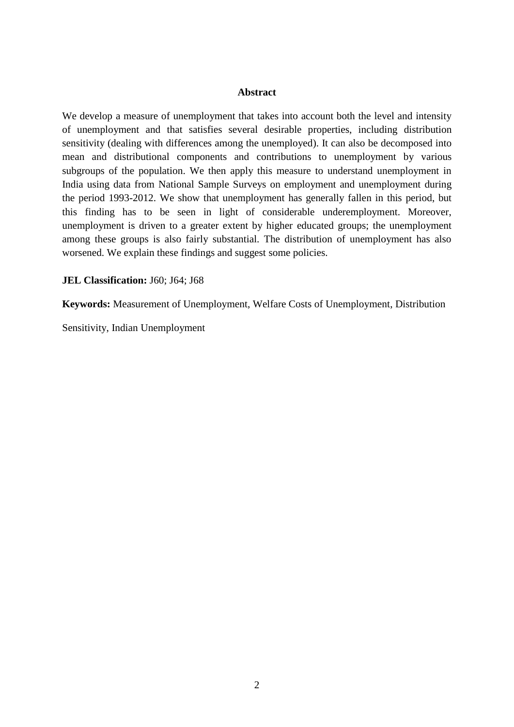### **Abstract**

We develop a measure of unemployment that takes into account both the level and intensity of unemployment and that satisfies several desirable properties, including distribution sensitivity (dealing with differences among the unemployed). It can also be decomposed into mean and distributional components and contributions to unemployment by various subgroups of the population. We then apply this measure to understand unemployment in India using data from National Sample Surveys on employment and unemployment during the period 1993-2012. We show that unemployment has generally fallen in this period, but this finding has to be seen in light of considerable underemployment. Moreover, unemployment is driven to a greater extent by higher educated groups; the unemployment among these groups is also fairly substantial. The distribution of unemployment has also worsened. We explain these findings and suggest some policies.

**JEL Classification:** J60; J64; J68

**Keywords:** Measurement of Unemployment, Welfare Costs of Unemployment, Distribution

Sensitivity, Indian Unemployment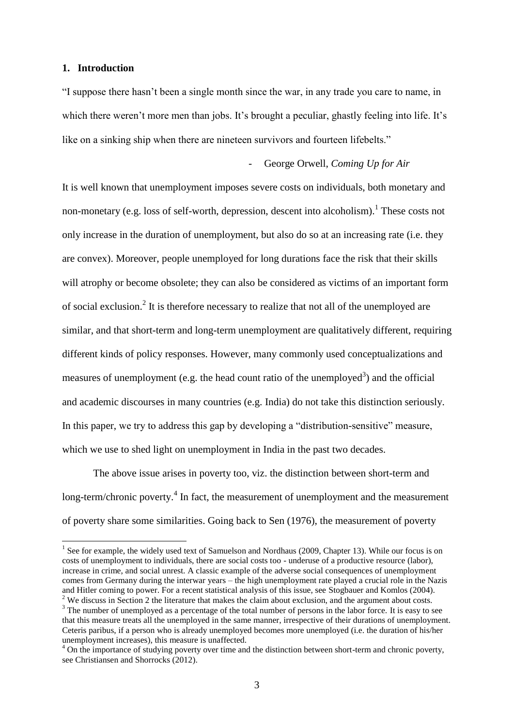#### **1. Introduction**

1

"I suppose there hasn"t been a single month since the war, in any trade you care to name, in which there weren't more men than jobs. It's brought a peculiar, ghastly feeling into life. It's like on a sinking ship when there are nineteen survivors and fourteen lifebelts."

- George Orwell, *Coming Up for Air*

It is well known that unemployment imposes severe costs on individuals, both monetary and non-monetary (e.g. loss of self-worth, depression, descent into alcoholism).<sup>1</sup> These costs not only increase in the duration of unemployment, but also do so at an increasing rate (i.e. they are convex). Moreover, people unemployed for long durations face the risk that their skills will atrophy or become obsolete; they can also be considered as victims of an important form of social exclusion.<sup>2</sup> It is therefore necessary to realize that not all of the unemployed are similar, and that short-term and long-term unemployment are qualitatively different, requiring different kinds of policy responses. However, many commonly used conceptualizations and measures of unemployment (e.g. the head count ratio of the unemployed<sup>3</sup>) and the official and academic discourses in many countries (e.g. India) do not take this distinction seriously. In this paper, we try to address this gap by developing a "distribution-sensitive" measure, which we use to shed light on unemployment in India in the past two decades.

The above issue arises in poverty too, viz. the distinction between short-term and long-term/chronic poverty.<sup>4</sup> In fact, the measurement of unemployment and the measurement of poverty share some similarities. Going back to Sen (1976), the measurement of poverty

<sup>&</sup>lt;sup>1</sup> See for example, the widely used text of Samuelson and Nordhaus (2009, Chapter 13). While our focus is on costs of unemployment to individuals, there are social costs too - underuse of a productive resource (labor), increase in crime, and social unrest. A classic example of the adverse social consequences of unemployment comes from Germany during the interwar years – the high unemployment rate played a crucial role in the Nazis and Hitler coming to power. For a recent statistical analysis of this issue, see Stogbauer and Komlos (2004). <sup>2</sup> We discuss in Section 2 the literature that makes the claim about exclusion, and the argument about costs.

<sup>&</sup>lt;sup>3</sup> The number of unemployed as a percentage of the total number of persons in the labor force. It is easy to see that this measure treats all the unemployed in the same manner, irrespective of their durations of unemployment. Ceteris paribus, if a person who is already unemployed becomes more unemployed (i.e. the duration of his/her unemployment increases), this measure is unaffected.

<sup>&</sup>lt;sup>4</sup> On the importance of studying poverty over time and the distinction between short-term and chronic poverty, see Christiansen and Shorrocks (2012).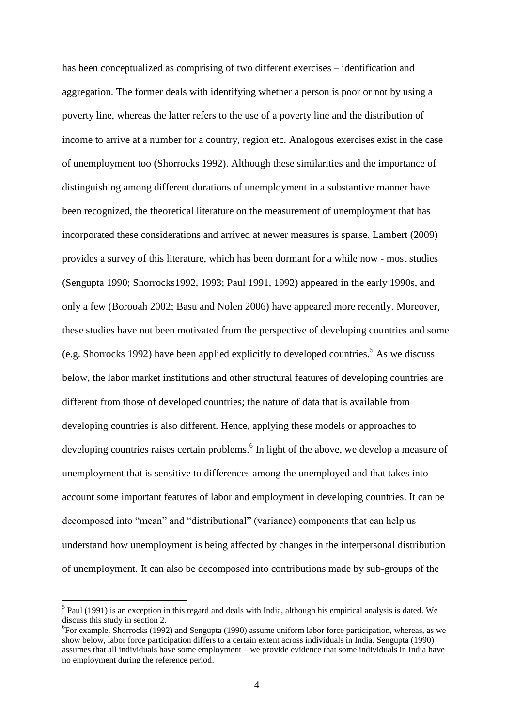has been conceptualized as comprising of two different exercises – identification and aggregation. The former deals with identifying whether a person is poor or not by using a poverty line, whereas the latter refers to the use of a poverty line and the distribution of income to arrive at a number for a country, region etc. Analogous exercises exist in the case of unemployment too (Shorrocks 1992). Although these similarities and the importance of distinguishing among different durations of unemployment in a substantive manner have been recognized, the theoretical literature on the measurement of unemployment that has incorporated these considerations and arrived at newer measures is sparse. Lambert (2009) provides a survey of this literature, which has been dormant for a while now - most studies (Sengupta 1990; Shorrocks1992, 1993; Paul 1991, 1992) appeared in the early 1990s, and only a few (Borooah 2002; Basu and Nolen 2006) have appeared more recently. Moreover, these studies have not been motivated from the perspective of developing countries and some (e.g. Shorrocks 1992) have been applied explicitly to developed countries.<sup>5</sup> As we discuss below, the labor market institutions and other structural features of developing countries are different from those of developed countries; the nature of data that is available from developing countries is also different. Hence, applying these models or approaches to developing countries raises certain problems.<sup>6</sup> In light of the above, we develop a measure of unemployment that is sensitive to differences among the unemployed and that takes into account some important features of labor and employment in developing countries. It can be decomposed into "mean" and "distributional" (variance) components that can help us understand how unemployment is being affected by changes in the interpersonal distribution of unemployment. It can also be decomposed into contributions made by sub-groups of the

 $<sup>5</sup>$  Paul (1991) is an exception in this regard and deals with India, although his empirical analysis is dated. We</sup> discuss this study in section 2.

<sup>&</sup>lt;sup>6</sup>For example, Shorrocks (1992) and Sengupta (1990) assume uniform labor force participation, whereas, as we show below, labor force participation differs to a certain extent across individuals in India. Sengupta (1990) assumes that all individuals have some employment – we provide evidence that some individuals in India have no employment during the reference period.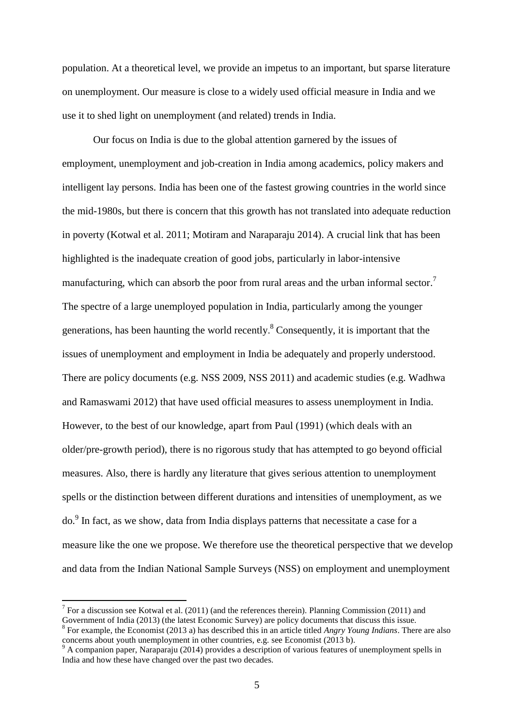population. At a theoretical level, we provide an impetus to an important, but sparse literature on unemployment. Our measure is close to a widely used official measure in India and we use it to shed light on unemployment (and related) trends in India.

Our focus on India is due to the global attention garnered by the issues of employment, unemployment and job-creation in India among academics, policy makers and intelligent lay persons. India has been one of the fastest growing countries in the world since the mid-1980s, but there is concern that this growth has not translated into adequate reduction in poverty (Kotwal et al. 2011; Motiram and Naraparaju 2014). A crucial link that has been highlighted is the inadequate creation of good jobs, particularly in labor-intensive manufacturing, which can absorb the poor from rural areas and the urban informal sector.<sup>7</sup> The spectre of a large unemployed population in India, particularly among the younger generations, has been haunting the world recently.<sup>8</sup> Consequently, it is important that the issues of unemployment and employment in India be adequately and properly understood. There are policy documents (e.g. NSS 2009, NSS 2011) and academic studies (e.g. Wadhwa and Ramaswami 2012) that have used official measures to assess unemployment in India. However, to the best of our knowledge, apart from Paul (1991) (which deals with an older/pre-growth period), there is no rigorous study that has attempted to go beyond official measures. Also, there is hardly any literature that gives serious attention to unemployment spells or the distinction between different durations and intensities of unemployment, as we do.<sup>9</sup> In fact, as we show, data from India displays patterns that necessitate a case for a measure like the one we propose. We therefore use the theoretical perspective that we develop and data from the Indian National Sample Surveys (NSS) on employment and unemployment

<sup>&</sup>lt;sup>7</sup> For a discussion see Kotwal et al. (2011) (and the references therein). Planning Commission (2011) and Government of India (2013) (the latest Economic Survey) are policy documents that discuss this issue. 8 For example, the Economist (2013 a) has described this in an article titled *Angry Young Indians*. There are also

concerns about youth unemployment in other countries, e.g. see Economist (2013 b).  $\beta$  A companion paper, Naraparaju (2014) provides a description of various features of unemployment spells in

India and how these have changed over the past two decades.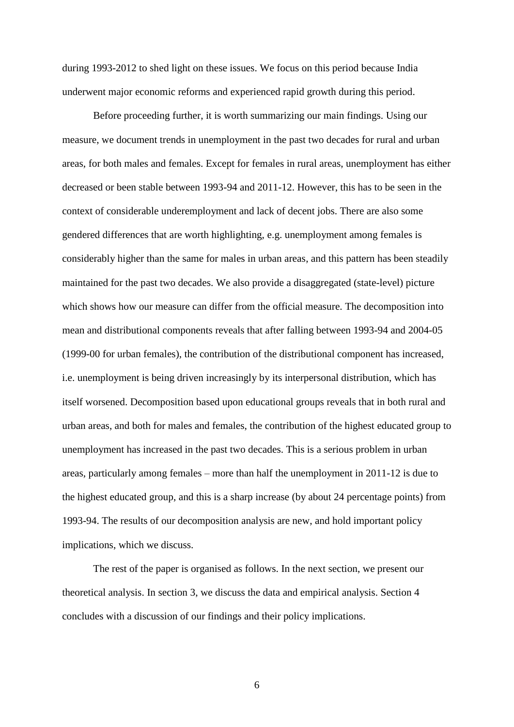during 1993-2012 to shed light on these issues. We focus on this period because India underwent major economic reforms and experienced rapid growth during this period.

Before proceeding further, it is worth summarizing our main findings. Using our measure, we document trends in unemployment in the past two decades for rural and urban areas, for both males and females. Except for females in rural areas, unemployment has either decreased or been stable between 1993-94 and 2011-12. However, this has to be seen in the context of considerable underemployment and lack of decent jobs. There are also some gendered differences that are worth highlighting, e.g. unemployment among females is considerably higher than the same for males in urban areas, and this pattern has been steadily maintained for the past two decades. We also provide a disaggregated (state-level) picture which shows how our measure can differ from the official measure. The decomposition into mean and distributional components reveals that after falling between 1993-94 and 2004-05 (1999-00 for urban females), the contribution of the distributional component has increased, i.e. unemployment is being driven increasingly by its interpersonal distribution, which has itself worsened. Decomposition based upon educational groups reveals that in both rural and urban areas, and both for males and females, the contribution of the highest educated group to unemployment has increased in the past two decades. This is a serious problem in urban areas, particularly among females – more than half the unemployment in 2011-12 is due to the highest educated group, and this is a sharp increase (by about 24 percentage points) from 1993-94. The results of our decomposition analysis are new, and hold important policy implications, which we discuss.

The rest of the paper is organised as follows. In the next section, we present our theoretical analysis. In section 3, we discuss the data and empirical analysis. Section 4 concludes with a discussion of our findings and their policy implications.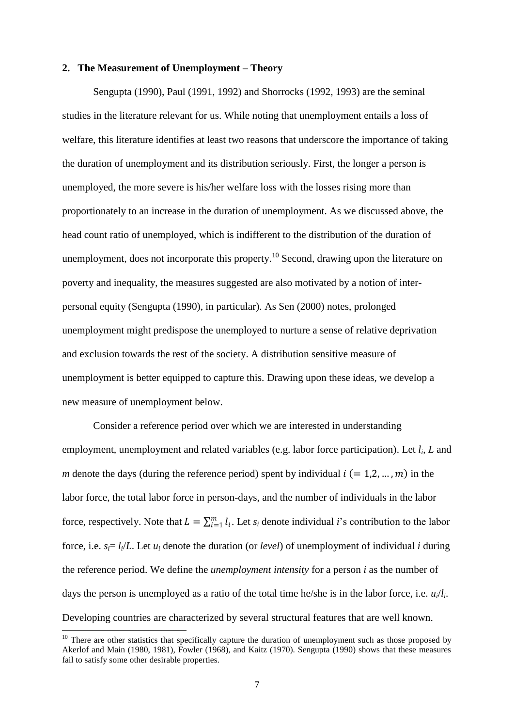#### **2. The Measurement of Unemployment – Theory**

Sengupta (1990), Paul (1991, 1992) and Shorrocks (1992, 1993) are the seminal studies in the literature relevant for us. While noting that unemployment entails a loss of welfare, this literature identifies at least two reasons that underscore the importance of taking the duration of unemployment and its distribution seriously. First, the longer a person is unemployed, the more severe is his/her welfare loss with the losses rising more than proportionately to an increase in the duration of unemployment. As we discussed above, the head count ratio of unemployed, which is indifferent to the distribution of the duration of unemployment, does not incorporate this property.<sup>10</sup> Second, drawing upon the literature on poverty and inequality, the measures suggested are also motivated by a notion of interpersonal equity (Sengupta (1990), in particular). As Sen (2000) notes, prolonged unemployment might predispose the unemployed to nurture a sense of relative deprivation and exclusion towards the rest of the society. A distribution sensitive measure of unemployment is better equipped to capture this. Drawing upon these ideas, we develop a new measure of unemployment below.

Consider a reference period over which we are interested in understanding employment, unemployment and related variables (e.g. labor force participation). Let *l<sup>i</sup>* , *L* and *m* denote the days (during the reference period) spent by individual  $i (= 1, 2, ..., m)$  in the labor force, the total labor force in person-days, and the number of individuals in the labor force, respectively. Note that  $L = \sum_{i=1}^{m} l_i$ . Let  $s_i$  denote individual *i*'s contribution to the labor force, i.e.  $s_i = l_i/L$ . Let  $u_i$  denote the duration (or *level*) of unemployment of individual *i* during the reference period. We define the *unemployment intensity* for a person *i* as the number of days the person is unemployed as a ratio of the total time he/she is in the labor force, i.e. *ui*/*l<sup>i</sup>* . Developing countries are characterized by several structural features that are well known.

 $10$  There are other statistics that specifically capture the duration of unemployment such as those proposed by Akerlof and Main (1980, 1981), Fowler (1968), and Kaitz (1970). Sengupta (1990) shows that these measures fail to satisfy some other desirable properties.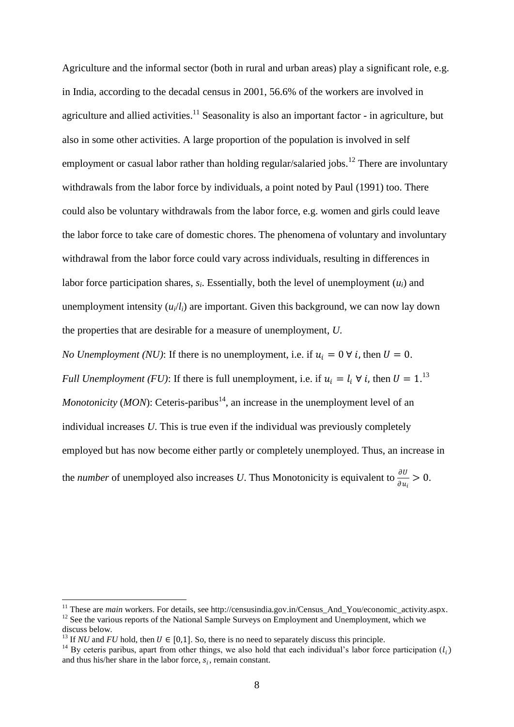Agriculture and the informal sector (both in rural and urban areas) play a significant role, e.g. in India, according to the decadal census in 2001, 56.6% of the workers are involved in agriculture and allied activities.<sup>11</sup> Seasonality is also an important factor - in agriculture, but also in some other activities. A large proportion of the population is involved in self employment or casual labor rather than holding regular/salaried jobs.<sup>12</sup> There are involuntary withdrawals from the labor force by individuals, a point noted by Paul (1991) too. There could also be voluntary withdrawals from the labor force, e.g. women and girls could leave the labor force to take care of domestic chores. The phenomena of voluntary and involuntary withdrawal from the labor force could vary across individuals, resulting in differences in labor force participation shares,  $s_i$ . Essentially, both the level of unemployment  $(u_i)$  and unemployment intensity  $(u_i/l_i)$  are important. Given this background, we can now lay down the properties that are desirable for a measure of unemployment, *U*.

*No Unemployment (NU)*: If there is no unemployment, i.e. if  $u_i = 0 \forall i$ , then  $U = 0$ . *Full Unemployment (FU)*: If there is full unemployment, i.e. if  $u_i = l_i \forall i$ , then  $U = 1$ .<sup>13</sup> *Monotonicity* (*MON*): Ceteris-paribus<sup>14</sup>, an increase in the unemployment level of an individual increases *U*. This is true even if the individual was previously completely employed but has now become either partly or completely unemployed. Thus, an increase in the *number* of unemployed also increases U. Thus Monotonicity is equivalent to  $\frac{\partial U}{\partial u_i} > 0$ .

<sup>&</sup>lt;sup>11</sup> These are *main* workers. For details, see http://censusindia.gov.in/Census\_And\_You/economic\_activity.aspx.

<sup>&</sup>lt;sup>12</sup> See the various reports of the National Sample Surveys on Employment and Unemployment, which we discuss below.

<sup>&</sup>lt;sup>13</sup> If *NU* and *FU* hold, then  $U \in [0,1]$ . So, there is no need to separately discuss this principle.

<sup>&</sup>lt;sup>14</sup> By ceteris paribus, apart from other things, we also hold that each individual's labor force participation  $(l_i)$ and thus his/her share in the labor force,  $s_i$ , remain constant.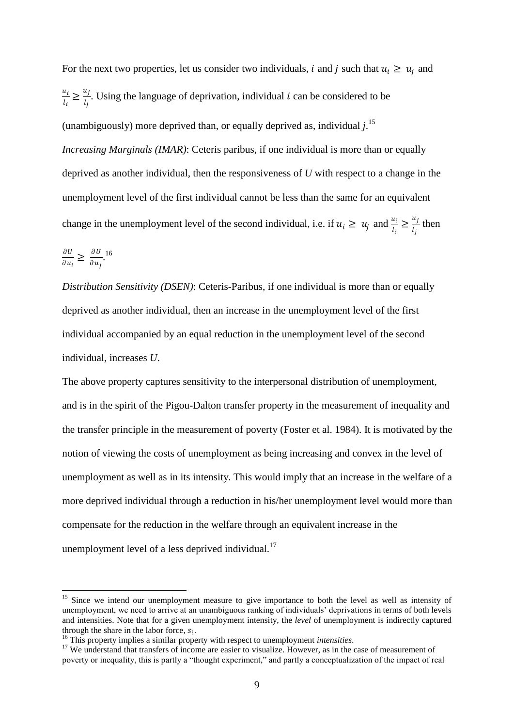For the next two properties, let us consider two individuals, i and j such that  $u_i \geq u_i$  and  $u_i$  $\frac{u_i}{l_i} \geq \frac{u_j}{l_j}$  $\frac{u_1}{l_j}$ . Using the language of deprivation, individual *i* can be considered to be (unambiguously) more deprived than, or equally deprived as, individual *j*. 15 *Increasing Marginals (IMAR)*: Ceteris paribus, if one individual is more than or equally deprived as another individual, then the responsiveness of *U* with respect to a change in the unemployment level of the first individual cannot be less than the same for an equivalent change in the unemployment level of the second individual, i.e. if  $u_i \ge u_j$  and  $\frac{u_i}{l_i} \ge \frac{u_j}{l_j}$  $\frac{a_j}{l_j}$  then

$$
\frac{\partial U}{\partial u_i} \ge \frac{\partial U}{\partial u_j}^{16}.
$$

**.** 

*Distribution Sensitivity (DSEN)*: Ceteris-Paribus, if one individual is more than or equally deprived as another individual, then an increase in the unemployment level of the first individual accompanied by an equal reduction in the unemployment level of the second individual, increases *U*.

The above property captures sensitivity to the interpersonal distribution of unemployment, and is in the spirit of the Pigou-Dalton transfer property in the measurement of inequality and the transfer principle in the measurement of poverty (Foster et al. 1984). It is motivated by the notion of viewing the costs of unemployment as being increasing and convex in the level of unemployment as well as in its intensity. This would imply that an increase in the welfare of a more deprived individual through a reduction in his/her unemployment level would more than compensate for the reduction in the welfare through an equivalent increase in the unemployment level of a less deprived individual. $17$ 

<sup>&</sup>lt;sup>15</sup> Since we intend our unemployment measure to give importance to both the level as well as intensity of unemployment, we need to arrive at an unambiguous ranking of individuals" deprivations in terms of both levels and intensities. Note that for a given unemployment intensity, the *level* of unemployment is indirectly captured through the share in the labor force,  $s_i$ .

<sup>16</sup> This property implies a similar property with respect to unemployment *intensities*.

<sup>&</sup>lt;sup>17</sup> We understand that transfers of income are easier to visualize. However, as in the case of measurement of poverty or inequality, this is partly a "thought experiment," and partly a conceptualization of the impact of real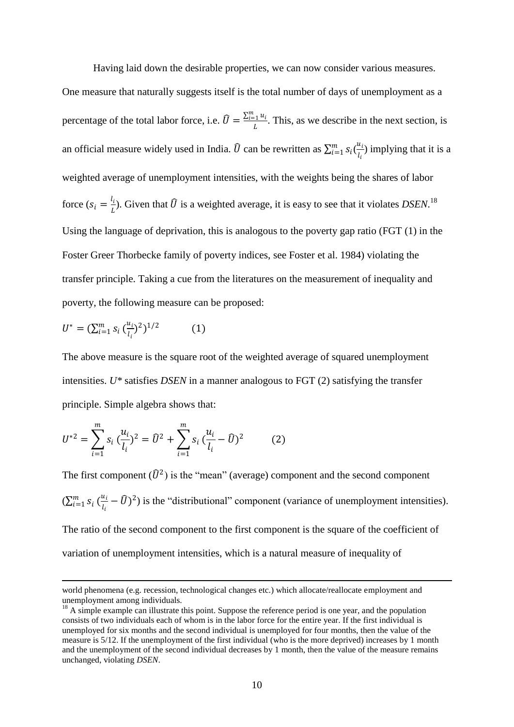Having laid down the desirable properties, we can now consider various measures.

One measure that naturally suggests itself is the total number of days of unemployment as a percentage of the total labor force, i.e.  $\hat{U} = \frac{\sum_{i=1}^{m} u_i}{I}$  $\frac{1}{L}$ . This, as we describe in the next section, is an official measure widely used in India.  $\hat{U}$  can be rewritten as  $\sum_{i=1}^{m} s_i(\frac{u_i}{L})$  $\frac{u_i}{l_i}$ ) implying that it is a weighted average of unemployment intensities, with the weights being the shares of labor force  $(s_i = \frac{l_i}{l_i})$  $\frac{U_i}{L}$ ). Given that  $\widehat{U}$  is a weighted average, it is easy to see that it violates *DSEN*.<sup>18</sup> Using the language of deprivation, this is analogous to the poverty gap ratio (FGT (1) in the Foster Greer Thorbecke family of poverty indices, see Foster et al. 1984) violating the transfer principle. Taking a cue from the literatures on the measurement of inequality and poverty, the following measure can be proposed:

$$
U^* = (\sum_{i=1}^m s_i \, \binom{u_i}{l_i}^2)^{1/2} \tag{1}
$$

**.** 

The above measure is the square root of the weighted average of squared unemployment intensities. *U\** satisfies *DSEN* in a manner analogous to FGT (2) satisfying the transfer principle. Simple algebra shows that:

$$
U^{*2} = \sum_{i=1}^{m} s_i \left(\frac{u_i}{l_i}\right)^2 = \hat{U}^2 + \sum_{i=1}^{m} s_i \left(\frac{u_i}{l_i} - \hat{U}\right)^2 \tag{2}
$$

The first component  $(\widehat{U}^2)$  is the "mean" (average) component and the second component  $(\sum_{i=1}^{m} s_i \left( \frac{u_i}{l_i} \right)$  $\frac{u_i}{l_i} - \widehat{U}$ )<sup>2</sup>) is the "distributional" component (variance of unemployment intensities). The ratio of the second component to the first component is the square of the coefficient of variation of unemployment intensities, which is a natural measure of inequality of

world phenomena (e.g. recession, technological changes etc.) which allocate/reallocate employment and unemployment among individuals.

 $18$  A simple example can illustrate this point. Suppose the reference period is one year, and the population consists of two individuals each of whom is in the labor force for the entire year. If the first individual is unemployed for six months and the second individual is unemployed for four months, then the value of the measure is 5/12. If the unemployment of the first individual (who is the more deprived) increases by 1 month and the unemployment of the second individual decreases by 1 month, then the value of the measure remains unchanged, violating *DSEN*.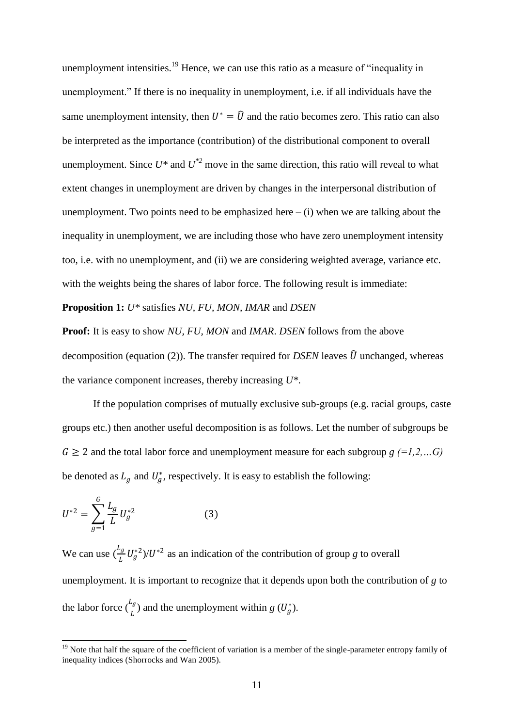unemployment intensities.<sup>19</sup> Hence, we can use this ratio as a measure of "inequality in unemployment." If there is no inequality in unemployment, i.e. if all individuals have the same unemployment intensity, then  $U^* = \hat{U}$  and the ratio becomes zero. This ratio can also be interpreted as the importance (contribution) of the distributional component to overall unemployment. Since  $U^*$  and  $U^{*2}$  move in the same direction, this ratio will reveal to what extent changes in unemployment are driven by changes in the interpersonal distribution of unemployment. Two points need to be emphasized here  $-$  (i) when we are talking about the inequality in unemployment, we are including those who have zero unemployment intensity too, i.e. with no unemployment, and (ii) we are considering weighted average, variance etc. with the weights being the shares of labor force. The following result is immediate:

**Proposition 1:** *U\** satisfies *NU, FU, MON, IMAR* and *DSEN*

**Proof:** It is easy to show *NU, FU, MON* and *IMAR*. *DSEN* follows from the above decomposition (equation (2)). The transfer required for *DSEN* leaves  $\hat{U}$  unchanged, whereas the variance component increases, thereby increasing *U\**.

If the population comprises of mutually exclusive sub-groups (e.g. racial groups, caste groups etc.) then another useful decomposition is as follows. Let the number of subgroups be  $G \geq 2$  and the total labor force and unemployment measure for each subgroup  $g$  (=1,2,...G) be denoted as  $L_g$  and  $U_g^*$ , respectively. It is easy to establish the following:

$$
U^{*2} = \sum_{g=1}^{G} \frac{L_g}{L} U_g^{*2}
$$
 (3)

We can use  $\left(\frac{L_g}{L}\right)$  $\frac{f^2}{L} U_g^{*2}$  // $U^{*2}$  as an indication of the contribution of group *g* to overall unemployment. It is important to recognize that it depends upon both the contribution of *g* to the labor force  $(\frac{L_g}{L})$  and the unemployment within *g* ( $U_g^*$ ).

**<sup>.</sup>**  $19$  Note that half the square of the coefficient of variation is a member of the single-parameter entropy family of inequality indices (Shorrocks and Wan 2005).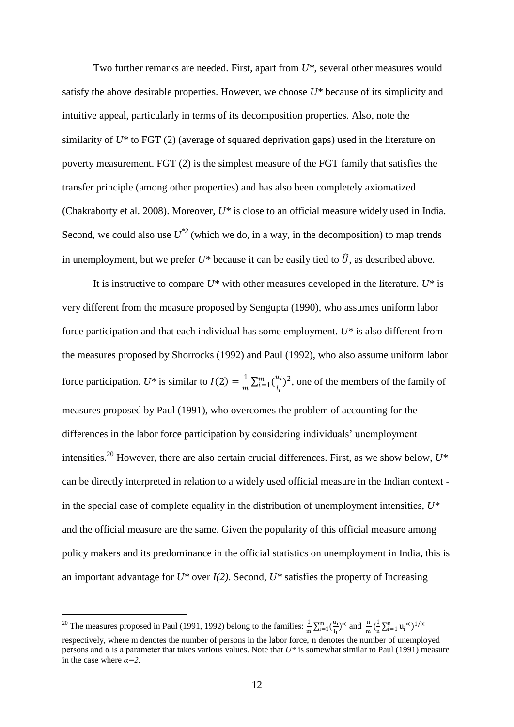Two further remarks are needed. First, apart from *U\**, several other measures would satisfy the above desirable properties. However, we choose *U\** because of its simplicity and intuitive appeal, particularly in terms of its decomposition properties. Also, note the similarity of *U\** to FGT (2) (average of squared deprivation gaps) used in the literature on poverty measurement. FGT (2) is the simplest measure of the FGT family that satisfies the transfer principle (among other properties) and has also been completely axiomatized (Chakraborty et al. 2008). Moreover, *U\** is close to an official measure widely used in India. Second, we could also use  $U^{*2}$  (which we do, in a way, in the decomposition) to map trends in unemployment, but we prefer  $U^*$  because it can be easily tied to  $\hat{U}$ , as described above.

It is instructive to compare *U\** with other measures developed in the literature. *U\** is very different from the measure proposed by Sengupta (1990), who assumes uniform labor force participation and that each individual has some employment. *U\** is also different from the measures proposed by Shorrocks (1992) and Paul (1992), who also assume uniform labor force participation.  $U^*$  is similar to  $I(2) = \frac{1}{n}$  $\frac{1}{m}\sum_{i=1}^m(\frac{u_i}{l_i})$  $\sum_{i=1}^{m} \left( \frac{u_i}{l_i} \right)^2$ , one of the members of the family of measures proposed by Paul (1991), who overcomes the problem of accounting for the differences in the labor force participation by considering individuals' unemployment intensities.<sup>20</sup> However, there are also certain crucial differences. First, as we show below,  $U^*$ can be directly interpreted in relation to a widely used official measure in the Indian context in the special case of complete equality in the distribution of unemployment intensities, *U\** and the official measure are the same. Given the popularity of this official measure among policy makers and its predominance in the official statistics on unemployment in India, this is an important advantage for  $U^*$  over  $I(2)$ . Second,  $U^*$  satisfies the property of Increasing

 $\overline{\phantom{a}}$ 

<sup>&</sup>lt;sup>20</sup> The measures proposed in Paul (1991, 1992) belong to the families:  $\frac{1}{m} \sum_{i=1}^{m} \left( \frac{u_i}{l_i} \right)$  $\sum_{i=1}^{m} \left( \frac{u_i}{l_i} \right)^{\alpha}$  and  $\frac{n}{m} \left( \frac{1}{n} \right)$  $\sum_{i=1}^{\infty}$   $u_i^{\alpha}$  $\left(\right)^{1/\alpha}$ respectively, where m denotes the number of persons in the labor force, n denotes the number of unemployed persons and α is a parameter that takes various values. Note that *U\** is somewhat similar to Paul (1991) measure in the case where *α=2.*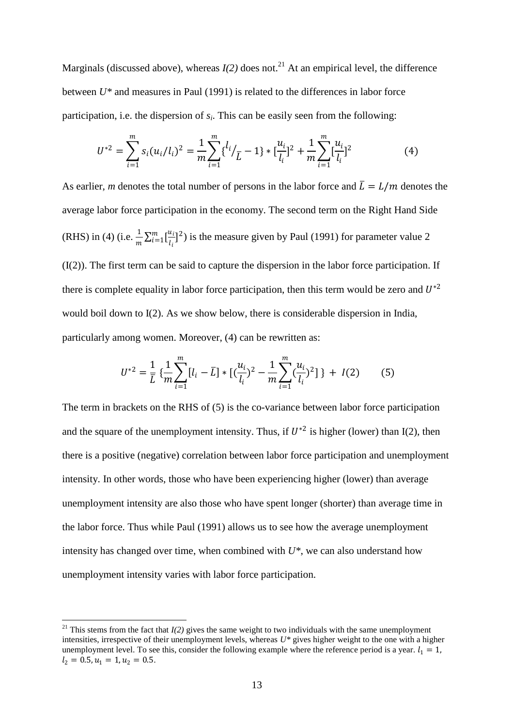Marginals (discussed above), whereas  $I(2)$  does not.<sup>21</sup> At an empirical level, the difference between *U\** and measures in Paul (1991) is related to the differences in labor force participation, i.e. the dispersion of *s<sup>i</sup>* . This can be easily seen from the following:

$$
U^{*2} = \sum_{i=1}^{m} s_i (u_i / l_i)^2 = \frac{1}{m} \sum_{i=1}^{m} \left\{ \frac{l_i}{L} - 1 \right\} * \left[ \frac{u_i}{l_i} \right]^2 + \frac{1}{m} \sum_{i=1}^{m} \left[ \frac{u_i}{l_i} \right]^2 \tag{4}
$$

As earlier, *m* denotes the total number of persons in the labor force and  $\bar{L} = L/m$  denotes the average labor force participation in the economy. The second term on the Right Hand Side (RHS) in (4) (i.e.  $\frac{1}{m} \sum_{i=1}^{m} [\frac{u_i}{l_i}]$  $\sum_{i=1}^{m} \left[\frac{u_i}{l_i}\right]^2$ ) is the measure given by Paul (1991) for parameter value 2 (I(2)). The first term can be said to capture the dispersion in the labor force participation. If there is complete equality in labor force participation, then this term would be zero and  $U^*$ <sup>2</sup> would boil down to I(2). As we show below, there is considerable dispersion in India, particularly among women. Moreover, (4) can be rewritten as:

$$
U^{*2} = \frac{1}{\bar{L}} \left\{ \frac{1}{m} \sum_{i=1}^{m} [l_i - \bar{L}] * [(\frac{u_i}{l_i})^2 - \frac{1}{m} \sum_{i=1}^{m} (\frac{u_i}{l_i})^2] \right\} + I(2)
$$
 (5)

The term in brackets on the RHS of (5) is the co-variance between labor force participation and the square of the unemployment intensity. Thus, if  $U^{*2}$  is higher (lower) than I(2), then there is a positive (negative) correlation between labor force participation and unemployment intensity. In other words, those who have been experiencing higher (lower) than average unemployment intensity are also those who have spent longer (shorter) than average time in the labor force. Thus while Paul (1991) allows us to see how the average unemployment intensity has changed over time, when combined with *U\**, we can also understand how unemployment intensity varies with labor force participation.

 $\overline{\phantom{a}}$ 

<sup>&</sup>lt;sup>21</sup> This stems from the fact that  $I(2)$  gives the same weight to two individuals with the same unemployment intensities, irrespective of their unemployment levels, whereas *U\** gives higher weight to the one with a higher unemployment level. To see this, consider the following example where the reference period is a year.  $l_1 = 1$ ,  $l_2 = 0.5, u_1 = 1, u_2 = 0.5.$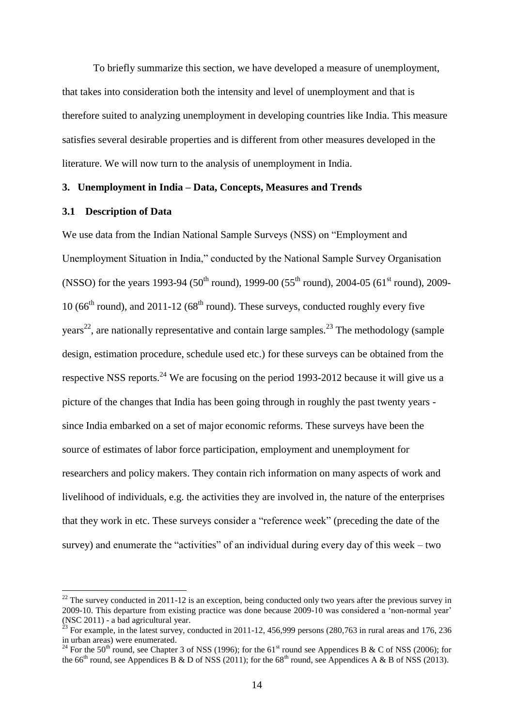To briefly summarize this section, we have developed a measure of unemployment, that takes into consideration both the intensity and level of unemployment and that is therefore suited to analyzing unemployment in developing countries like India. This measure satisfies several desirable properties and is different from other measures developed in the literature. We will now turn to the analysis of unemployment in India.

## **3. Unemployment in India – Data, Concepts, Measures and Trends**

#### **3.1 Description of Data**

**.** 

We use data from the Indian National Sample Surveys (NSS) on "Employment and Unemployment Situation in India," conducted by the National Sample Survey Organisation (NSSO) for the years 1993-94 (50<sup>th</sup> round), 1999-00 (55<sup>th</sup> round), 2004-05 (61<sup>st</sup> round), 2009-10 ( $66<sup>th</sup>$  round), and 2011-12 ( $68<sup>th</sup>$  round). These surveys, conducted roughly every five years<sup>22</sup>, are nationally representative and contain large samples.<sup>23</sup> The methodology (sample design, estimation procedure, schedule used etc.) for these surveys can be obtained from the respective NSS reports.<sup>24</sup> We are focusing on the period 1993-2012 because it will give us a picture of the changes that India has been going through in roughly the past twenty years since India embarked on a set of major economic reforms. These surveys have been the source of estimates of labor force participation, employment and unemployment for researchers and policy makers. They contain rich information on many aspects of work and livelihood of individuals, e.g. the activities they are involved in, the nature of the enterprises that they work in etc. These surveys consider a "reference week" (preceding the date of the survey) and enumerate the "activities" of an individual during every day of this week – two

 $22$  The survey conducted in 2011-12 is an exception, being conducted only two years after the previous survey in 2009-10. This departure from existing practice was done because 2009-10 was considered a "non-normal year" (NSC 2011) - a bad agricultural year.

<sup>&</sup>lt;sup>23</sup> For example, in the latest survey, conducted in 2011-12, 456,999 persons (280,763 in rural areas and 176, 236 in urban areas) were enumerated.

<sup>&</sup>lt;sup>24</sup> For the 50<sup>th</sup> round, see Chapter 3 of NSS (1996); for the 61<sup>st</sup> round see Appendices B & C of NSS (2006); for the 66<sup>th</sup> round, see Appendices B & D of NSS (2011); for the 68<sup>th</sup> round, see Appendices A & B of NSS (2013).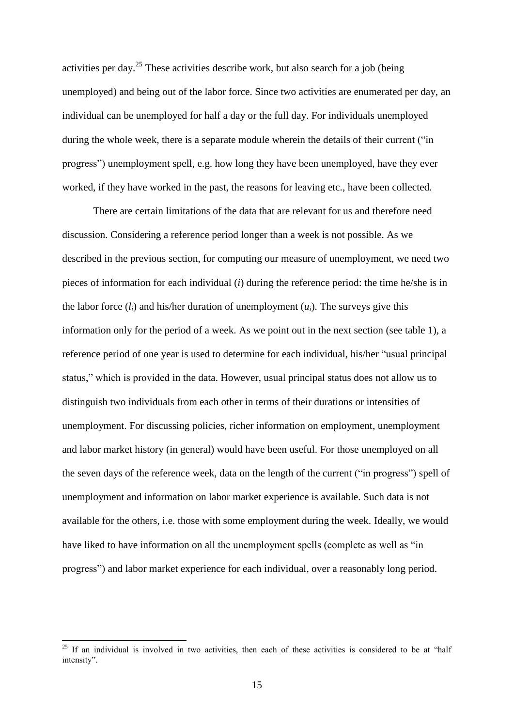activities per day.<sup>25</sup> These activities describe work, but also search for a job (being unemployed) and being out of the labor force. Since two activities are enumerated per day, an individual can be unemployed for half a day or the full day. For individuals unemployed during the whole week, there is a separate module wherein the details of their current ("in progress") unemployment spell, e.g. how long they have been unemployed, have they ever worked, if they have worked in the past, the reasons for leaving etc., have been collected.

There are certain limitations of the data that are relevant for us and therefore need discussion. Considering a reference period longer than a week is not possible. As we described in the previous section, for computing our measure of unemployment, we need two pieces of information for each individual (*i*) during the reference period: the time he/she is in the labor force  $(l_i)$  and his/her duration of unemployment  $(u_i)$ . The surveys give this information only for the period of a week. As we point out in the next section (see table 1), a reference period of one year is used to determine for each individual, his/her "usual principal status," which is provided in the data. However, usual principal status does not allow us to distinguish two individuals from each other in terms of their durations or intensities of unemployment. For discussing policies, richer information on employment, unemployment and labor market history (in general) would have been useful. For those unemployed on all the seven days of the reference week, data on the length of the current ("in progress") spell of unemployment and information on labor market experience is available. Such data is not available for the others, i.e. those with some employment during the week. Ideally, we would have liked to have information on all the unemployment spells (complete as well as "in progress") and labor market experience for each individual, over a reasonably long period.

**.** 

 $25$  If an individual is involved in two activities, then each of these activities is considered to be at "half intensity".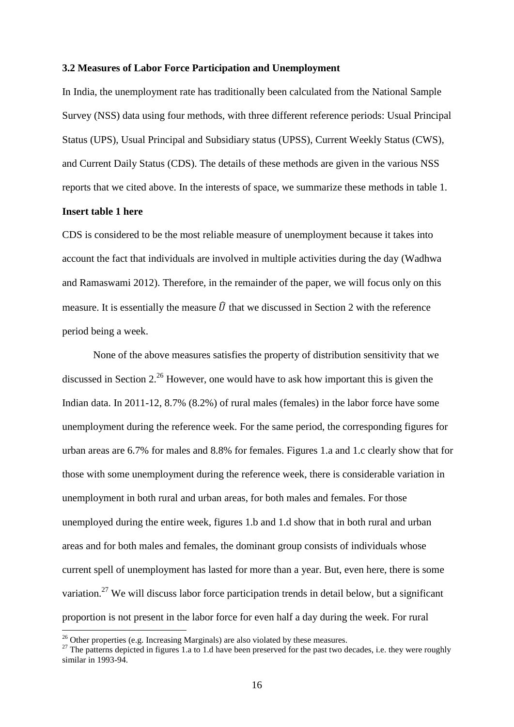#### **3.2 Measures of Labor Force Participation and Unemployment**

In India, the unemployment rate has traditionally been calculated from the National Sample Survey (NSS) data using four methods, with three different reference periods: Usual Principal Status (UPS), Usual Principal and Subsidiary status (UPSS), Current Weekly Status (CWS), and Current Daily Status (CDS). The details of these methods are given in the various NSS reports that we cited above. In the interests of space, we summarize these methods in table 1.

## **Insert table 1 here**

1

CDS is considered to be the most reliable measure of unemployment because it takes into account the fact that individuals are involved in multiple activities during the day (Wadhwa and Ramaswami 2012). Therefore, in the remainder of the paper, we will focus only on this measure. It is essentially the measure  $\hat{U}$  that we discussed in Section 2 with the reference period being a week.

None of the above measures satisfies the property of distribution sensitivity that we discussed in Section 2.<sup>26</sup> However, one would have to ask how important this is given the Indian data. In 2011-12, 8.7% (8.2%) of rural males (females) in the labor force have some unemployment during the reference week. For the same period, the corresponding figures for urban areas are 6.7% for males and 8.8% for females. Figures 1.a and 1.c clearly show that for those with some unemployment during the reference week, there is considerable variation in unemployment in both rural and urban areas, for both males and females. For those unemployed during the entire week, figures 1.b and 1.d show that in both rural and urban areas and for both males and females, the dominant group consists of individuals whose current spell of unemployment has lasted for more than a year. But, even here, there is some variation.<sup>27</sup> We will discuss labor force participation trends in detail below, but a significant proportion is not present in the labor force for even half a day during the week. For rural

 $26$  Other properties (e.g. Increasing Marginals) are also violated by these measures.

<sup>&</sup>lt;sup>27</sup> The patterns depicted in figures 1.a to 1.d have been preserved for the past two decades, i.e. they were roughly similar in  $1993-94$ .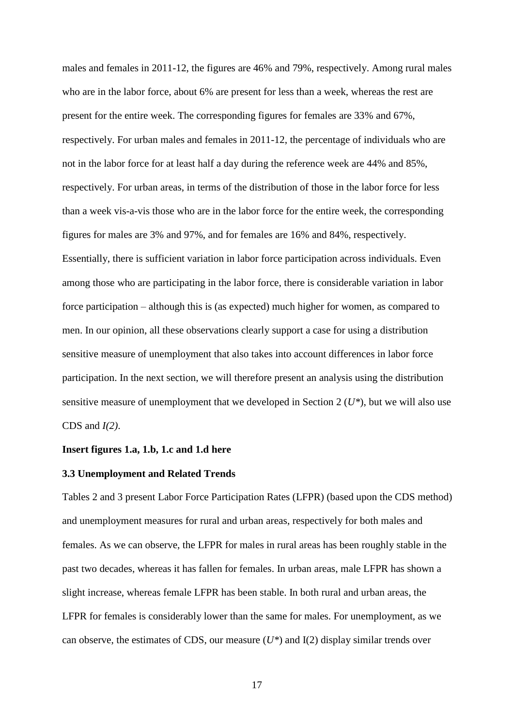males and females in 2011-12, the figures are 46% and 79%, respectively. Among rural males who are in the labor force, about 6% are present for less than a week, whereas the rest are present for the entire week. The corresponding figures for females are 33% and 67%, respectively. For urban males and females in 2011-12, the percentage of individuals who are not in the labor force for at least half a day during the reference week are 44% and 85%, respectively. For urban areas, in terms of the distribution of those in the labor force for less than a week vis-a-vis those who are in the labor force for the entire week, the corresponding figures for males are 3% and 97%, and for females are 16% and 84%, respectively. Essentially, there is sufficient variation in labor force participation across individuals. Even among those who are participating in the labor force, there is considerable variation in labor force participation – although this is (as expected) much higher for women, as compared to men. In our opinion, all these observations clearly support a case for using a distribution sensitive measure of unemployment that also takes into account differences in labor force participation. In the next section, we will therefore present an analysis using the distribution sensitive measure of unemployment that we developed in Section 2 (*U\**), but we will also use CDS and *I(2)*.

## **Insert figures 1.a, 1.b, 1.c and 1.d here**

#### **3.3 Unemployment and Related Trends**

Tables 2 and 3 present Labor Force Participation Rates (LFPR) (based upon the CDS method) and unemployment measures for rural and urban areas, respectively for both males and females. As we can observe, the LFPR for males in rural areas has been roughly stable in the past two decades, whereas it has fallen for females. In urban areas, male LFPR has shown a slight increase, whereas female LFPR has been stable. In both rural and urban areas, the LFPR for females is considerably lower than the same for males. For unemployment, as we can observe, the estimates of CDS, our measure (*U\**) and I(2) display similar trends over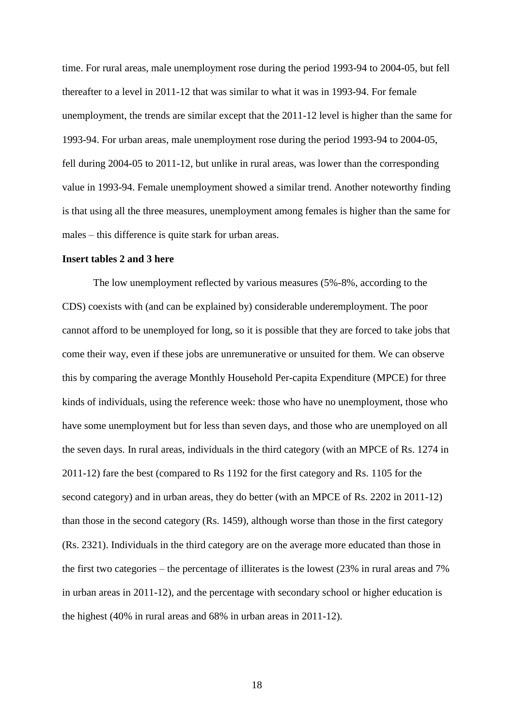time. For rural areas, male unemployment rose during the period 1993-94 to 2004-05, but fell thereafter to a level in 2011-12 that was similar to what it was in 1993-94. For female unemployment, the trends are similar except that the 2011-12 level is higher than the same for 1993-94. For urban areas, male unemployment rose during the period 1993-94 to 2004-05, fell during 2004-05 to 2011-12, but unlike in rural areas, was lower than the corresponding value in 1993-94. Female unemployment showed a similar trend. Another noteworthy finding is that using all the three measures, unemployment among females is higher than the same for males – this difference is quite stark for urban areas.

#### **Insert tables 2 and 3 here**

The low unemployment reflected by various measures (5%-8%, according to the CDS) coexists with (and can be explained by) considerable underemployment. The poor cannot afford to be unemployed for long, so it is possible that they are forced to take jobs that come their way, even if these jobs are unremunerative or unsuited for them. We can observe this by comparing the average Monthly Household Per-capita Expenditure (MPCE) for three kinds of individuals, using the reference week: those who have no unemployment, those who have some unemployment but for less than seven days, and those who are unemployed on all the seven days. In rural areas, individuals in the third category (with an MPCE of Rs. 1274 in 2011-12) fare the best (compared to Rs 1192 for the first category and Rs. 1105 for the second category) and in urban areas, they do better (with an MPCE of Rs. 2202 in 2011-12) than those in the second category (Rs. 1459), although worse than those in the first category (Rs. 2321). Individuals in the third category are on the average more educated than those in the first two categories – the percentage of illiterates is the lowest (23% in rural areas and 7% in urban areas in 2011-12), and the percentage with secondary school or higher education is the highest (40% in rural areas and 68% in urban areas in 2011-12).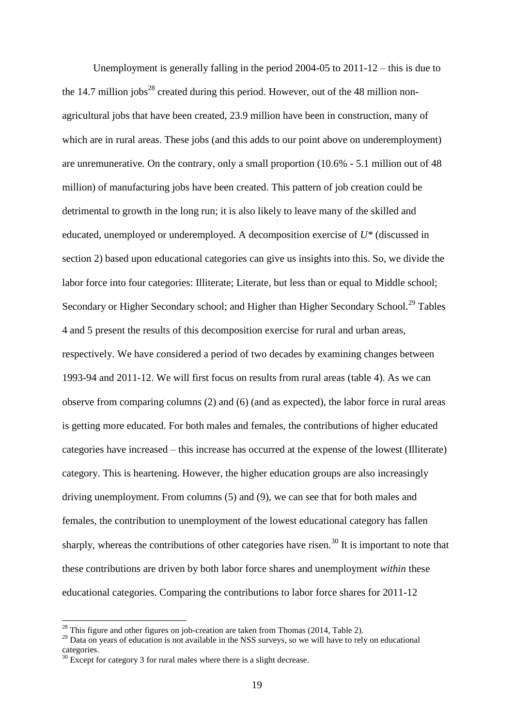Unemployment is generally falling in the period 2004-05 to 2011-12 – this is due to the 14.7 million  $i$ obs<sup>28</sup> created during this period. However, out of the 48 million nonagricultural jobs that have been created, 23.9 million have been in construction, many of which are in rural areas. These jobs (and this adds to our point above on underemployment) are unremunerative. On the contrary, only a small proportion (10.6% - 5.1 million out of 48 million) of manufacturing jobs have been created. This pattern of job creation could be detrimental to growth in the long run; it is also likely to leave many of the skilled and educated, unemployed or underemployed. A decomposition exercise of *U\** (discussed in section 2) based upon educational categories can give us insights into this. So, we divide the labor force into four categories: Illiterate; Literate, but less than or equal to Middle school; Secondary or Higher Secondary school; and Higher than Higher Secondary School.<sup>29</sup> Tables 4 and 5 present the results of this decomposition exercise for rural and urban areas, respectively. We have considered a period of two decades by examining changes between 1993-94 and 2011-12. We will first focus on results from rural areas (table 4). As we can observe from comparing columns (2) and (6) (and as expected), the labor force in rural areas is getting more educated. For both males and females, the contributions of higher educated categories have increased – this increase has occurred at the expense of the lowest (Illiterate) category. This is heartening. However, the higher education groups are also increasingly driving unemployment. From columns (5) and (9), we can see that for both males and females, the contribution to unemployment of the lowest educational category has fallen sharply, whereas the contributions of other categories have risen.<sup>30</sup> It is important to note that these contributions are driven by both labor force shares and unemployment *within* these educational categories. Comparing the contributions to labor force shares for 2011-12

**.** 

<sup>&</sup>lt;sup>28</sup> This figure and other figures on job-creation are taken from Thomas (2014, Table 2).

<sup>&</sup>lt;sup>29</sup> Data on years of education is not available in the NSS surveys, so we will have to rely on educational categories.

 $30$  Except for category 3 for rural males where there is a slight decrease.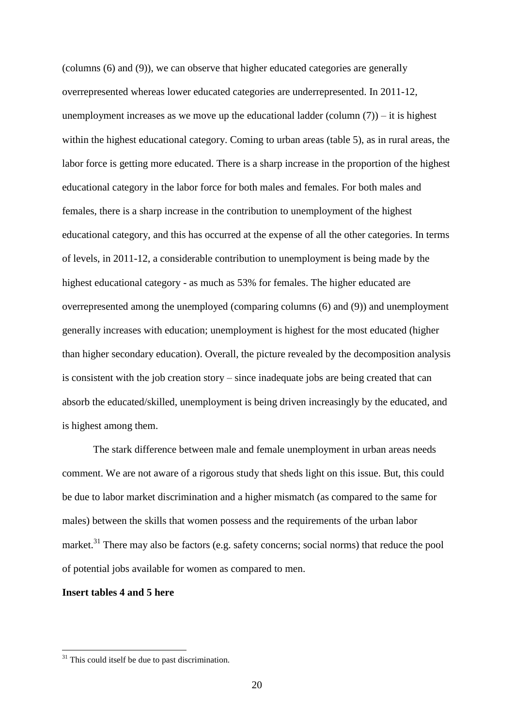(columns (6) and (9)), we can observe that higher educated categories are generally overrepresented whereas lower educated categories are underrepresented. In 2011-12, unemployment increases as we move up the educational ladder (column  $(7)$ ) – it is highest within the highest educational category. Coming to urban areas (table 5), as in rural areas, the labor force is getting more educated. There is a sharp increase in the proportion of the highest educational category in the labor force for both males and females. For both males and females, there is a sharp increase in the contribution to unemployment of the highest educational category, and this has occurred at the expense of all the other categories. In terms of levels, in 2011-12, a considerable contribution to unemployment is being made by the highest educational category - as much as 53% for females. The higher educated are overrepresented among the unemployed (comparing columns (6) and (9)) and unemployment generally increases with education; unemployment is highest for the most educated (higher than higher secondary education). Overall, the picture revealed by the decomposition analysis is consistent with the job creation story – since inadequate jobs are being created that can absorb the educated/skilled, unemployment is being driven increasingly by the educated, and is highest among them.

The stark difference between male and female unemployment in urban areas needs comment. We are not aware of a rigorous study that sheds light on this issue. But, this could be due to labor market discrimination and a higher mismatch (as compared to the same for males) between the skills that women possess and the requirements of the urban labor market.<sup>31</sup> There may also be factors (e.g. safety concerns; social norms) that reduce the pool of potential jobs available for women as compared to men.

## **Insert tables 4 and 5 here**

**.** 

 $31$  This could itself be due to past discrimination.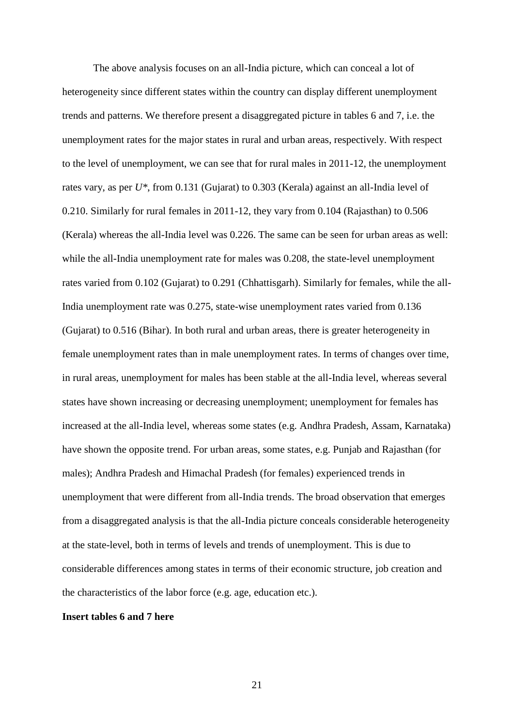The above analysis focuses on an all-India picture, which can conceal a lot of heterogeneity since different states within the country can display different unemployment trends and patterns. We therefore present a disaggregated picture in tables 6 and 7, i.e. the unemployment rates for the major states in rural and urban areas, respectively. With respect to the level of unemployment, we can see that for rural males in 2011-12, the unemployment rates vary, as per *U\**, from 0.131 (Gujarat) to 0.303 (Kerala) against an all-India level of 0.210. Similarly for rural females in 2011-12, they vary from 0.104 (Rajasthan) to 0.506 (Kerala) whereas the all-India level was 0.226. The same can be seen for urban areas as well: while the all-India unemployment rate for males was 0.208, the state-level unemployment rates varied from 0.102 (Gujarat) to 0.291 (Chhattisgarh). Similarly for females, while the all-India unemployment rate was 0.275, state-wise unemployment rates varied from 0.136 (Gujarat) to 0.516 (Bihar). In both rural and urban areas, there is greater heterogeneity in female unemployment rates than in male unemployment rates. In terms of changes over time, in rural areas, unemployment for males has been stable at the all-India level, whereas several states have shown increasing or decreasing unemployment; unemployment for females has increased at the all-India level, whereas some states (e.g. Andhra Pradesh, Assam, Karnataka) have shown the opposite trend. For urban areas, some states, e.g. Punjab and Rajasthan (for males); Andhra Pradesh and Himachal Pradesh (for females) experienced trends in unemployment that were different from all-India trends. The broad observation that emerges from a disaggregated analysis is that the all-India picture conceals considerable heterogeneity at the state-level, both in terms of levels and trends of unemployment. This is due to considerable differences among states in terms of their economic structure, job creation and the characteristics of the labor force (e.g. age, education etc.).

### **Insert tables 6 and 7 here**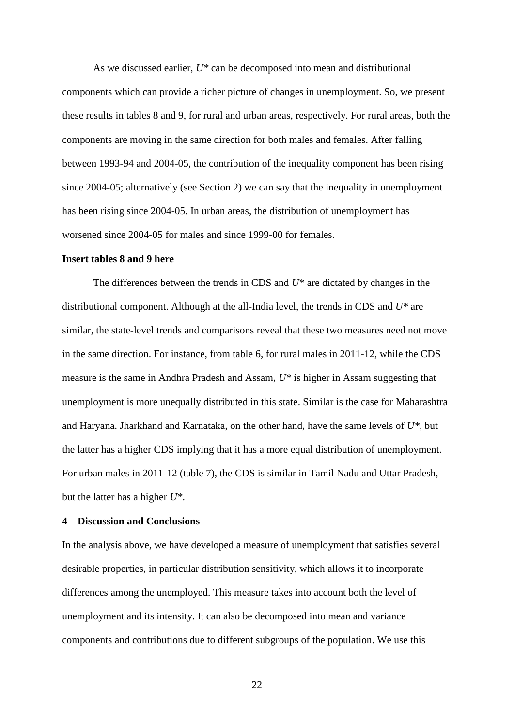As we discussed earlier, *U\** can be decomposed into mean and distributional components which can provide a richer picture of changes in unemployment. So, we present these results in tables 8 and 9, for rural and urban areas, respectively. For rural areas, both the components are moving in the same direction for both males and females. After falling between 1993-94 and 2004-05, the contribution of the inequality component has been rising since 2004-05; alternatively (see Section 2) we can say that the inequality in unemployment has been rising since 2004-05. In urban areas, the distribution of unemployment has worsened since 2004-05 for males and since 1999-00 for females.

#### **Insert tables 8 and 9 here**

The differences between the trends in CDS and *U*\* are dictated by changes in the distributional component. Although at the all-India level, the trends in CDS and *U\** are similar, the state-level trends and comparisons reveal that these two measures need not move in the same direction. For instance, from table 6, for rural males in 2011-12, while the CDS measure is the same in Andhra Pradesh and Assam, *U\** is higher in Assam suggesting that unemployment is more unequally distributed in this state. Similar is the case for Maharashtra and Haryana. Jharkhand and Karnataka, on the other hand, have the same levels of *U\**, but the latter has a higher CDS implying that it has a more equal distribution of unemployment. For urban males in 2011-12 (table 7), the CDS is similar in Tamil Nadu and Uttar Pradesh, but the latter has a higher *U\**.

#### **4 Discussion and Conclusions**

In the analysis above, we have developed a measure of unemployment that satisfies several desirable properties, in particular distribution sensitivity, which allows it to incorporate differences among the unemployed. This measure takes into account both the level of unemployment and its intensity. It can also be decomposed into mean and variance components and contributions due to different subgroups of the population. We use this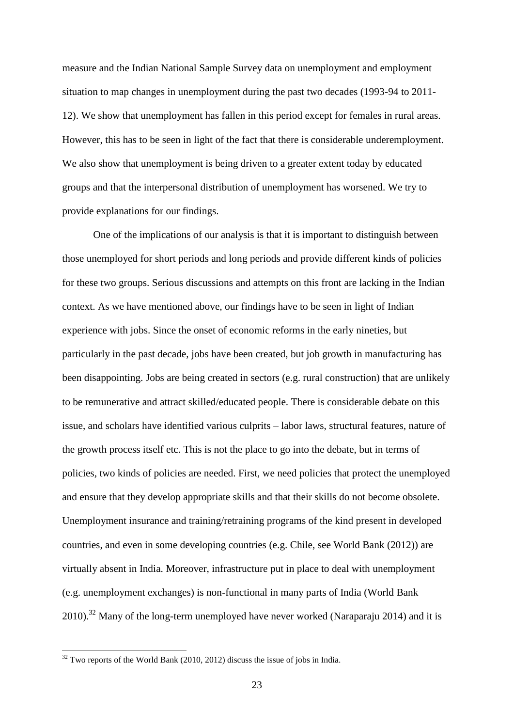measure and the Indian National Sample Survey data on unemployment and employment situation to map changes in unemployment during the past two decades (1993-94 to 2011- 12). We show that unemployment has fallen in this period except for females in rural areas. However, this has to be seen in light of the fact that there is considerable underemployment. We also show that unemployment is being driven to a greater extent today by educated groups and that the interpersonal distribution of unemployment has worsened. We try to provide explanations for our findings.

One of the implications of our analysis is that it is important to distinguish between those unemployed for short periods and long periods and provide different kinds of policies for these two groups. Serious discussions and attempts on this front are lacking in the Indian context. As we have mentioned above, our findings have to be seen in light of Indian experience with jobs. Since the onset of economic reforms in the early nineties, but particularly in the past decade, jobs have been created, but job growth in manufacturing has been disappointing. Jobs are being created in sectors (e.g. rural construction) that are unlikely to be remunerative and attract skilled/educated people. There is considerable debate on this issue, and scholars have identified various culprits – labor laws, structural features, nature of the growth process itself etc. This is not the place to go into the debate, but in terms of policies, two kinds of policies are needed. First, we need policies that protect the unemployed and ensure that they develop appropriate skills and that their skills do not become obsolete. Unemployment insurance and training/retraining programs of the kind present in developed countries, and even in some developing countries (e.g. Chile, see World Bank (2012)) are virtually absent in India. Moreover, infrastructure put in place to deal with unemployment (e.g. unemployment exchanges) is non-functional in many parts of India (World Bank  $2010$ .<sup>32</sup> Many of the long-term unemployed have never worked (Naraparaju 2014) and it is

**.** 

 $32$  Two reports of the World Bank (2010, 2012) discuss the issue of jobs in India.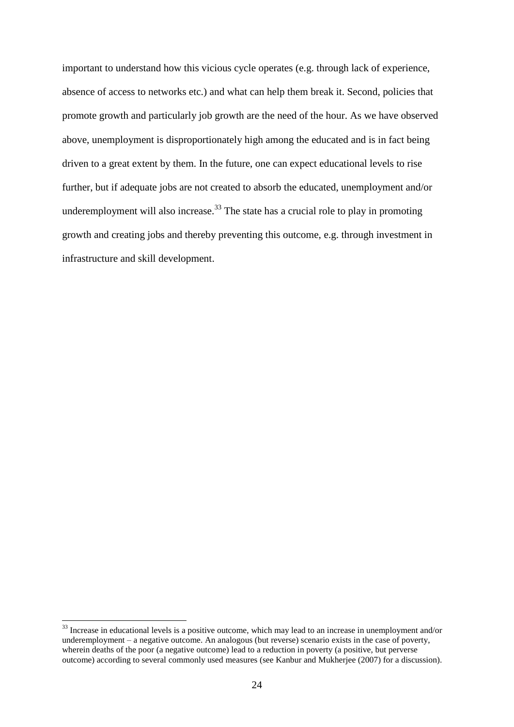important to understand how this vicious cycle operates (e.g. through lack of experience, absence of access to networks etc.) and what can help them break it. Second, policies that promote growth and particularly job growth are the need of the hour. As we have observed above, unemployment is disproportionately high among the educated and is in fact being driven to a great extent by them. In the future, one can expect educational levels to rise further, but if adequate jobs are not created to absorb the educated, unemployment and/or underemployment will also increase.<sup>33</sup> The state has a crucial role to play in promoting growth and creating jobs and thereby preventing this outcome, e.g. through investment in infrastructure and skill development.

**.** 

 $33$  Increase in educational levels is a positive outcome, which may lead to an increase in unemployment and/or underemployment – a negative outcome. An analogous (but reverse) scenario exists in the case of poverty, wherein deaths of the poor (a negative outcome) lead to a reduction in poverty (a positive, but perverse outcome) according to several commonly used measures (see Kanbur and Mukherjee (2007) for a discussion).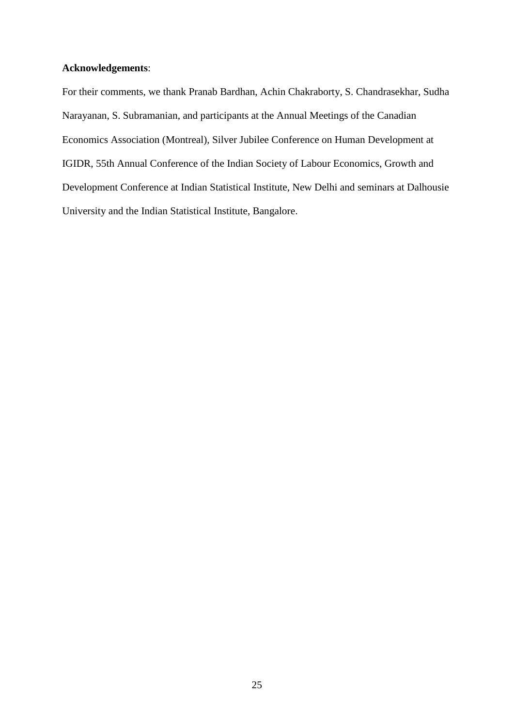## **Acknowledgements**:

For their comments, we thank Pranab Bardhan, Achin Chakraborty, S. Chandrasekhar, Sudha Narayanan, S. Subramanian, and participants at the Annual Meetings of the Canadian Economics Association (Montreal), Silver Jubilee Conference on Human Development at IGIDR, 55th Annual Conference of the Indian Society of Labour Economics, Growth and Development Conference at Indian Statistical Institute, New Delhi and seminars at Dalhousie University and the Indian Statistical Institute, Bangalore.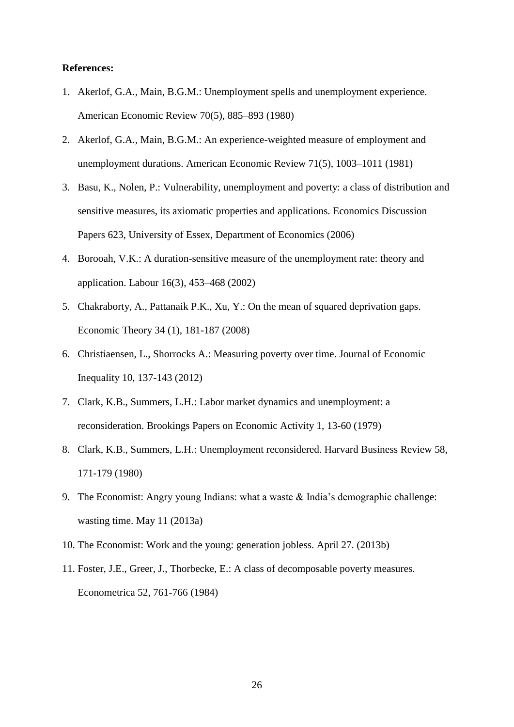#### **References:**

- 1. Akerlof, G.A., Main, B.G.M.: Unemployment spells and unemployment experience. American Economic Review 70(5), 885–893 (1980)
- 2. Akerlof, G.A., Main, B.G.M.: An experience-weighted measure of employment and unemployment durations. American Economic Review 71(5), 1003–1011 (1981)
- 3. Basu, K., Nolen, P.: Vulnerability, unemployment and poverty: a class of distribution and sensitive measures, its axiomatic properties and applications. Economics Discussion Papers 623, University of Essex, Department of Economics (2006)
- 4. Borooah, V.K.: A duration-sensitive measure of the unemployment rate: theory and application. Labour 16(3), 453–468 (2002)
- 5. Chakraborty, A., Pattanaik P.K., Xu, Y.: On the mean of squared deprivation gaps. Economic Theory 34 (1), 181-187 (2008)
- 6. Christiaensen, L., Shorrocks A.: Measuring poverty over time. Journal of Economic Inequality 10, 137-143 (2012)
- 7. Clark, K.B., Summers, L.H.: Labor market dynamics and unemployment: a reconsideration. Brookings Papers on Economic Activity 1, 13-60 (1979)
- 8. Clark, K.B., Summers, L.H.: Unemployment reconsidered. Harvard Business Review 58, 171-179 (1980)
- 9. The Economist: Angry young Indians: what a waste & India"s demographic challenge: wasting time. May 11 (2013a)
- 10. The Economist: Work and the young: generation jobless. April 27. (2013b)
- 11. Foster, J.E., Greer, J., Thorbecke, E.: A class of decomposable poverty measures. Econometrica 52, 761-766 (1984)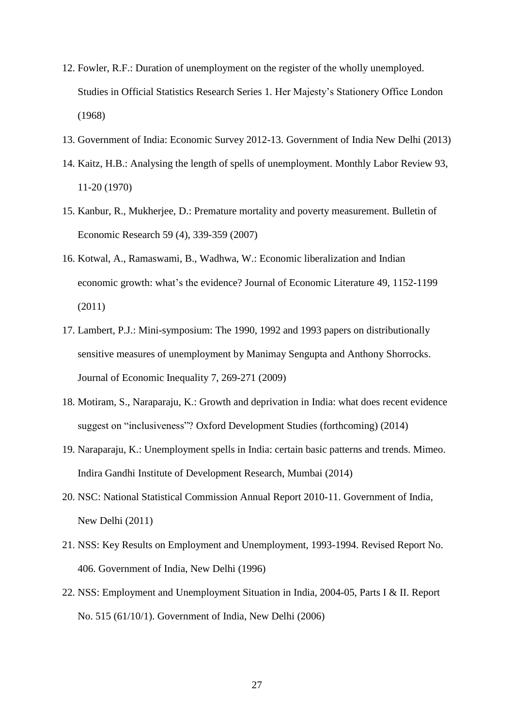- 12. Fowler, R.F.: Duration of unemployment on the register of the wholly unemployed. Studies in Official Statistics Research Series 1. Her Majesty"s Stationery Office London (1968)
- 13. Government of India: Economic Survey 2012-13. Government of India New Delhi (2013)
- 14. Kaitz, H.B.: Analysing the length of spells of unemployment. Monthly Labor Review 93, 11-20 (1970)
- 15. Kanbur, R., Mukherjee, D.: Premature mortality and poverty measurement. Bulletin of Economic Research 59 (4), 339-359 (2007)
- 16. Kotwal, A., Ramaswami, B., Wadhwa, W.: Economic liberalization and Indian economic growth: what's the evidence? Journal of Economic Literature 49, 1152-1199 (2011)
- 17. Lambert, P.J.: Mini-symposium: The 1990, 1992 and 1993 papers on distributionally sensitive measures of unemployment by Manimay Sengupta and Anthony Shorrocks. Journal of Economic Inequality 7, 269-271 (2009)
- 18. Motiram, S., Naraparaju, K.: Growth and deprivation in India: what does recent evidence suggest on "inclusiveness"? Oxford Development Studies (forthcoming) (2014)
- 19. Naraparaju, K.: Unemployment spells in India: certain basic patterns and trends. Mimeo. Indira Gandhi Institute of Development Research, Mumbai (2014)
- 20. NSC: National Statistical Commission Annual Report 2010-11. Government of India, New Delhi (2011)
- 21. NSS: Key Results on Employment and Unemployment, 1993-1994. Revised Report No. 406. Government of India, New Delhi (1996)
- 22. NSS: Employment and Unemployment Situation in India, 2004-05, Parts I & II. Report No. 515 (61/10/1). Government of India, New Delhi (2006)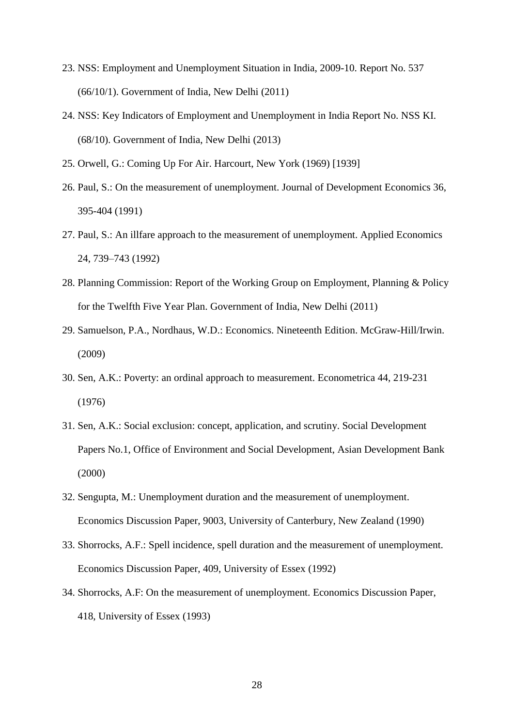- 23. NSS: Employment and Unemployment Situation in India, 2009-10. Report No. 537 (66/10/1). Government of India, New Delhi (2011)
- 24. NSS: Key Indicators of Employment and Unemployment in India Report No. NSS KI. (68/10). Government of India, New Delhi (2013)
- 25. Orwell, G.: Coming Up For Air. Harcourt, New York (1969) [1939]
- 26. Paul, S.: On the measurement of unemployment. Journal of Development Economics 36, 395-404 (1991)
- 27. Paul, S.: An illfare approach to the measurement of unemployment. Applied Economics 24, 739–743 (1992)
- 28. Planning Commission: Report of the Working Group on Employment, Planning & Policy for the Twelfth Five Year Plan. Government of India, New Delhi (2011)
- 29. Samuelson, P.A., Nordhaus, W.D.: Economics. Nineteenth Edition. McGraw-Hill/Irwin. (2009)
- 30. Sen, A.K.: Poverty: an ordinal approach to measurement. Econometrica 44, 219-231 (1976)
- 31. Sen, A.K.: Social exclusion: concept, application, and scrutiny. Social Development Papers No.1, Office of Environment and Social Development, Asian Development Bank (2000)
- 32. Sengupta, M.: Unemployment duration and the measurement of unemployment. Economics Discussion Paper, 9003, University of Canterbury, New Zealand (1990)
- 33. Shorrocks, A.F.: Spell incidence, spell duration and the measurement of unemployment. Economics Discussion Paper, 409, University of Essex (1992)
- 34. Shorrocks, A.F: On the measurement of unemployment. Economics Discussion Paper, 418, University of Essex (1993)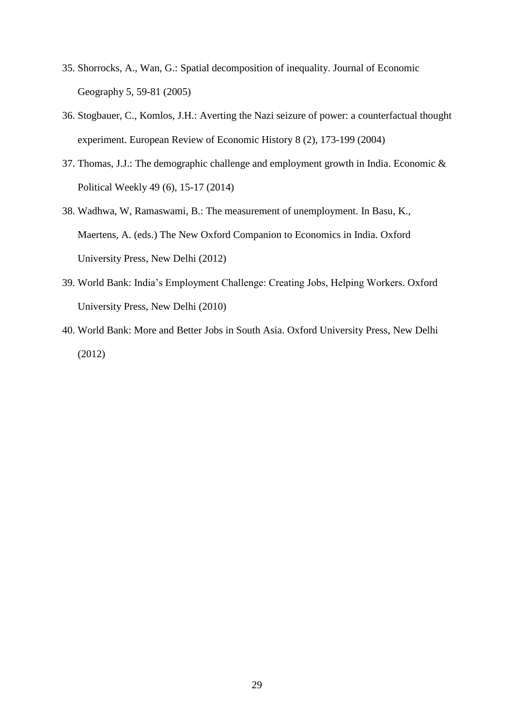- 35. Shorrocks, A., Wan, G.: Spatial decomposition of inequality. Journal of Economic Geography 5, 59-81 (2005)
- 36. Stogbauer, C., Komlos, J.H.: Averting the Nazi seizure of power: a counterfactual thought experiment. European Review of Economic History 8 (2), 173-199 (2004)
- 37. Thomas, J.J.: The demographic challenge and employment growth in India. Economic & Political Weekly 49 (6), 15-17 (2014)
- 38. Wadhwa, W, Ramaswami, B.: The measurement of unemployment. In Basu, K., Maertens, A. (eds.) The New Oxford Companion to Economics in India. Oxford University Press, New Delhi (2012)
- 39. World Bank: India"s Employment Challenge: Creating Jobs, Helping Workers. Oxford University Press, New Delhi (2010)
- 40. World Bank: More and Better Jobs in South Asia. Oxford University Press, New Delhi (2012)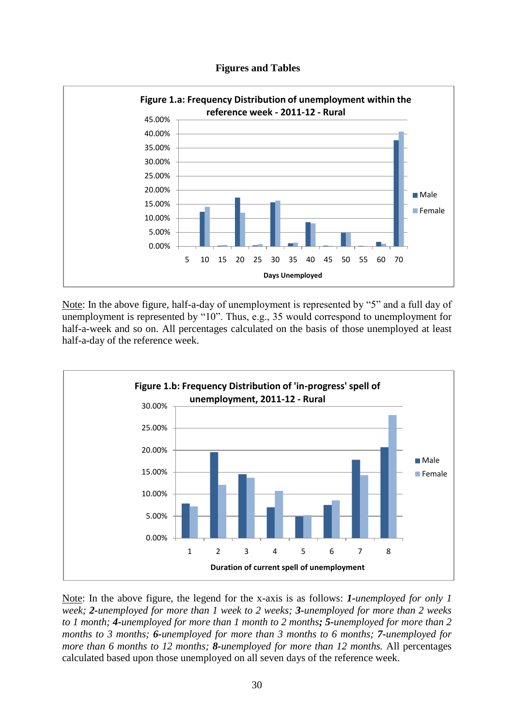



Note: In the above figure, half-a-day of unemployment is represented by "5" and a full day of unemployment is represented by "10". Thus, e.g., 35 would correspond to unemployment for half-a-week and so on. All percentages calculated on the basis of those unemployed at least half-a-day of the reference week.



Note: In the above figure, the legend for the x-axis is as follows: *1-unemployed for only 1 week; 2-unemployed for more than 1 week to 2 weeks; 3-unemployed for more than 2 weeks to 1 month; 4-unemployed for more than 1 month to 2 months; 5-unemployed for more than 2 months to 3 months; 6-unemployed for more than 3 months to 6 months; 7-unemployed for more than 6 months to 12 months; 8-unemployed for more than 12 months.* All percentages calculated based upon those unemployed on all seven days of the reference week.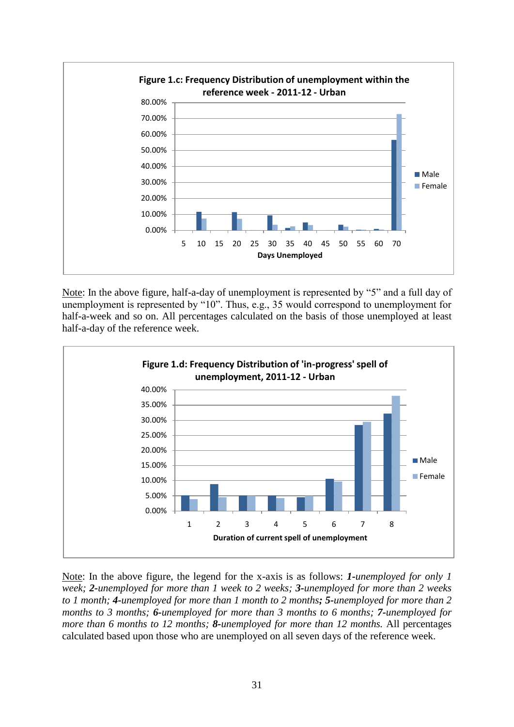

Note: In the above figure, half-a-day of unemployment is represented by "5" and a full day of unemployment is represented by "10". Thus, e.g., 35 would correspond to unemployment for half-a-week and so on. All percentages calculated on the basis of those unemployed at least half-a-day of the reference week.



Note: In the above figure, the legend for the x-axis is as follows: *1-unemployed for only 1 week; 2-unemployed for more than 1 week to 2 weeks; 3-unemployed for more than 2 weeks to 1 month; 4-unemployed for more than 1 month to 2 months; 5-unemployed for more than 2 months to 3 months; 6-unemployed for more than 3 months to 6 months; 7-unemployed for more than 6 months to 12 months; 8-unemployed for more than 12 months.* All percentages calculated based upon those who are unemployed on all seven days of the reference week.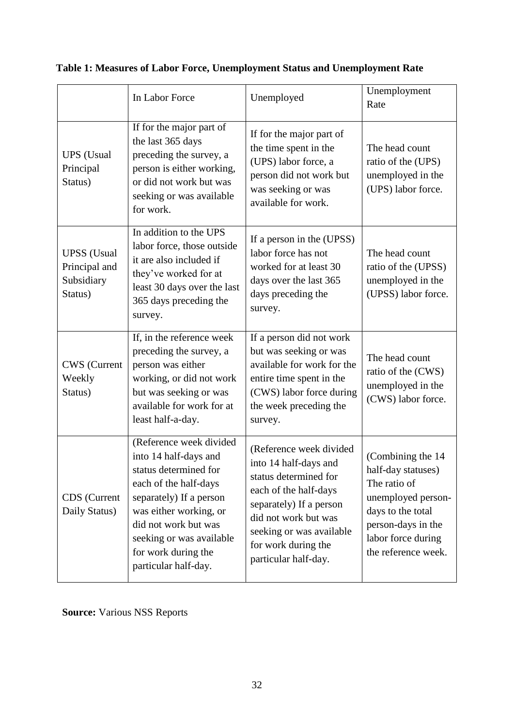|                                                              | In Labor Force                                                                                                                                                                                                                                             | Unemployed                                                                                                                                                                                                                       | Unemployment<br>Rate                                                                                                                                                   |
|--------------------------------------------------------------|------------------------------------------------------------------------------------------------------------------------------------------------------------------------------------------------------------------------------------------------------------|----------------------------------------------------------------------------------------------------------------------------------------------------------------------------------------------------------------------------------|------------------------------------------------------------------------------------------------------------------------------------------------------------------------|
| <b>UPS</b> (Usual<br>Principal<br>Status)                    | If for the major part of<br>the last 365 days<br>preceding the survey, a<br>person is either working,<br>or did not work but was<br>seeking or was available<br>for work.                                                                                  | If for the major part of<br>the time spent in the<br>(UPS) labor force, a<br>person did not work but<br>was seeking or was<br>available for work.                                                                                | The head count<br>ratio of the (UPS)<br>unemployed in the<br>(UPS) labor force.                                                                                        |
| <b>UPSS</b> (Usual<br>Principal and<br>Subsidiary<br>Status) | In addition to the UPS<br>labor force, those outside<br>it are also included if<br>they've worked for at<br>least 30 days over the last<br>365 days preceding the<br>survey.                                                                               | If a person in the (UPSS)<br>labor force has not<br>worked for at least 30<br>days over the last 365<br>days preceding the<br>survey.                                                                                            | The head count<br>ratio of the (UPSS)<br>unemployed in the<br>(UPSS) labor force.                                                                                      |
| <b>CWS</b> (Current<br>Weekly<br>Status)                     | If, in the reference week<br>preceding the survey, a<br>person was either<br>working, or did not work<br>but was seeking or was<br>available for work for at<br>least half-a-day.                                                                          | If a person did not work<br>but was seeking or was<br>available for work for the<br>entire time spent in the<br>(CWS) labor force during<br>the week preceding the<br>survey.                                                    | The head count<br>ratio of the (CWS)<br>unemployed in the<br>(CWS) labor force.                                                                                        |
| CDS (Current<br>Daily Status)                                | (Reference week divided<br>into 14 half-days and<br>status determined for<br>each of the half-days<br>separately) If a person<br>was either working, or<br>did not work but was<br>seeking or was available<br>for work during the<br>particular half-day. | (Reference week divided<br>into 14 half-days and<br>status determined for<br>each of the half-days<br>separately) If a person<br>did not work but was<br>seeking or was available<br>for work during the<br>particular half-day. | (Combining the 14)<br>half-day statuses)<br>The ratio of<br>unemployed person-<br>days to the total<br>person-days in the<br>labor force during<br>the reference week. |

# **Table 1: Measures of Labor Force, Unemployment Status and Unemployment Rate**

**Source:** Various NSS Reports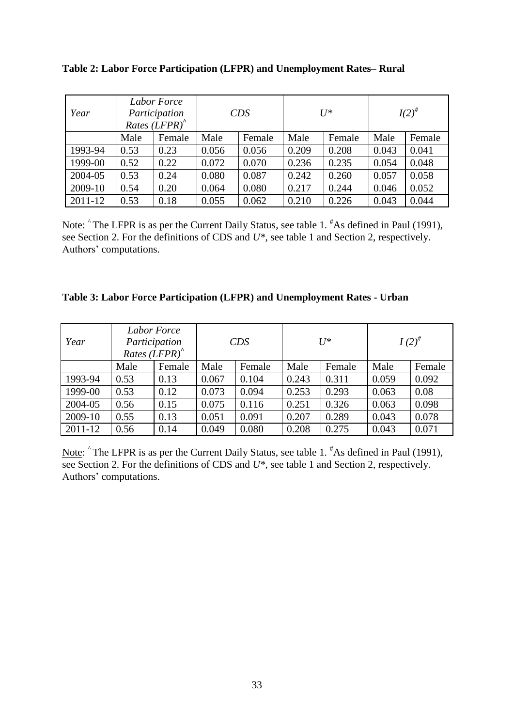| Year    | Labor Force<br>Participation<br>Rates $(LFPR)^{^{\wedge}}$ |        | CDS   |        | $U^*$ |        | $I(2)^{\#}$ |        |
|---------|------------------------------------------------------------|--------|-------|--------|-------|--------|-------------|--------|
|         | Male                                                       | Female | Male  | Female | Male  | Female | Male        | Female |
| 1993-94 | 0.53                                                       | 0.23   | 0.056 | 0.056  | 0.209 | 0.208  | 0.043       | 0.041  |
| 1999-00 | 0.52                                                       | 0.22   | 0.072 | 0.070  | 0.236 | 0.235  | 0.054       | 0.048  |
| 2004-05 | 0.53                                                       | 0.24   | 0.080 | 0.087  | 0.242 | 0.260  | 0.057       | 0.058  |
| 2009-10 | 0.54                                                       | 0.20   | 0.064 | 0.080  | 0.217 | 0.244  | 0.046       | 0.052  |
| 2011-12 | 0.53                                                       | 0.18   | 0.055 | 0.062  | 0.210 | 0.226  | 0.043       | 0.044  |

**Table 2: Labor Force Participation (LFPR) and Unemployment Rates– Rural**

Note:  $\hat{ }$  The LFPR is as per the Current Daily Status, see table 1. <sup>#</sup>As defined in Paul (1991), see Section 2. For the definitions of CDS and *U\**, see table 1 and Section 2, respectively. Authors" computations.

| Year    | Labor Force<br>Participation<br>Rates $(LFPR)^{^{\wedge}}$ |        | CDS   |        |       | $U^*$  | $I(2)^{\#}$ |        |
|---------|------------------------------------------------------------|--------|-------|--------|-------|--------|-------------|--------|
|         | Male                                                       | Female | Male  | Female | Male  | Female | Male        | Female |
| 1993-94 | 0.53                                                       | 0.13   | 0.067 | 0.104  | 0.243 | 0.311  | 0.059       | 0.092  |
| 1999-00 | 0.53                                                       | 0.12   | 0.073 | 0.094  | 0.253 | 0.293  | 0.063       | 0.08   |
| 2004-05 | 0.56                                                       | 0.15   | 0.075 | 0.116  | 0.251 | 0.326  | 0.063       | 0.098  |
| 2009-10 | 0.55                                                       | 0.13   | 0.051 | 0.091  | 0.207 | 0.289  | 0.043       | 0.078  |
| 2011-12 | 0.56                                                       | 0.14   | 0.049 | 0.080  | 0.208 | 0.275  | 0.043       | 0.071  |

Note:  $\hat{ }$  The LFPR is as per the Current Daily Status, see table 1.  $\hat{ }$  As defined in Paul (1991), see Section 2. For the definitions of CDS and  $U^*$ , see table 1 and Section 2, respectively. Authors" computations.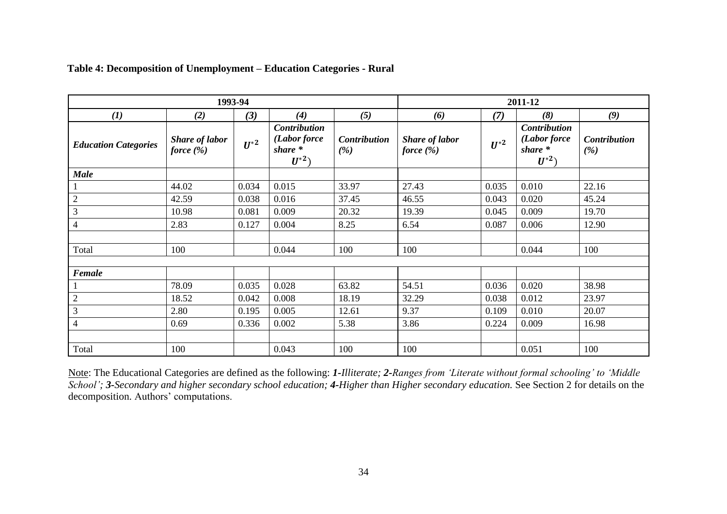|                             |                                       | 1993-94  |                                                              |                            | 2011-12                               |          |                                                              |                     |  |
|-----------------------------|---------------------------------------|----------|--------------------------------------------------------------|----------------------------|---------------------------------------|----------|--------------------------------------------------------------|---------------------|--|
| $\left(1\right)$            | (2)                                   | $(3)$    | (4)                                                          | (5)                        | (6)                                   | (7)      | (8)                                                          | (9)                 |  |
| <b>Education Categories</b> | <b>Share of labor</b><br>force $(\%)$ | $U^{*2}$ | <b>Contribution</b><br>(Labor force<br>$share *$<br>$U^{*2}$ | <b>Contribution</b><br>(%) | <b>Share of labor</b><br>force $(\%)$ | $U^{*2}$ | <b>Contribution</b><br>(Labor force<br>share $*$<br>$U^{*2}$ | Contribution<br>(%) |  |
| <b>Male</b>                 |                                       |          |                                                              |                            |                                       |          |                                                              |                     |  |
| $\mathbf{1}$                | 44.02                                 | 0.034    | 0.015                                                        | 33.97                      | 27.43                                 | 0.035    | 0.010                                                        | 22.16               |  |
| $\overline{2}$              | 42.59                                 | 0.038    | 0.016                                                        | 37.45                      | 46.55                                 | 0.043    | 0.020                                                        | 45.24               |  |
| $\overline{3}$              | 10.98                                 | 0.081    | 0.009                                                        | 20.32                      | 19.39                                 | 0.045    | 0.009                                                        | 19.70               |  |
| $\overline{4}$              | 2.83                                  | 0.127    | 0.004                                                        | 8.25                       | 6.54                                  | 0.087    | 0.006                                                        | 12.90               |  |
|                             |                                       |          |                                                              |                            |                                       |          |                                                              |                     |  |
| Total                       | 100                                   |          | 0.044                                                        | 100                        | 100                                   |          | 0.044                                                        | 100                 |  |
|                             |                                       |          |                                                              |                            |                                       |          |                                                              |                     |  |
| Female                      |                                       |          |                                                              |                            |                                       |          |                                                              |                     |  |
|                             | 78.09                                 | 0.035    | 0.028                                                        | 63.82                      | 54.51                                 | 0.036    | 0.020                                                        | 38.98               |  |
| $\sqrt{2}$                  | 18.52                                 | 0.042    | 0.008                                                        | 18.19                      | 32.29                                 | 0.038    | 0.012                                                        | 23.97               |  |
| $\mathfrak{Z}$              | 2.80                                  | 0.195    | 0.005                                                        | 12.61                      | 9.37                                  | 0.109    | 0.010                                                        | 20.07               |  |
| $\overline{4}$              | 0.69                                  | 0.336    | 0.002                                                        | 5.38                       | 3.86                                  | 0.224    | 0.009                                                        | 16.98               |  |
|                             |                                       |          |                                                              |                            |                                       |          |                                                              |                     |  |
| Total                       | 100                                   |          | 0.043                                                        | 100                        | 100                                   |          | 0.051                                                        | 100                 |  |

## **Table 4: Decomposition of Unemployment – Education Categories - Rural**

Note: The Educational Categories are defined as the following: *1-Illiterate; 2-Ranges from 'Literate without formal schooling' to 'Middle School'; 3-Secondary and higher secondary school education; 4-Higher than Higher secondary education.* See Section 2 for details on the decomposition. Authors' computations.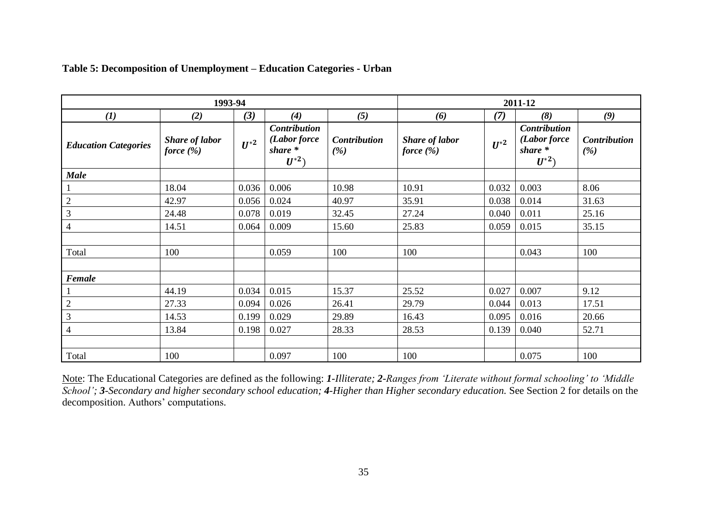|                             | 1993-94                               |          |                                                            |                            | 2011-12                               |          |                                                     |                            |  |
|-----------------------------|---------------------------------------|----------|------------------------------------------------------------|----------------------------|---------------------------------------|----------|-----------------------------------------------------|----------------------------|--|
| (1)                         | (2)                                   | (3)      | (4)                                                        | (5)                        | (6)                                   | (7)      | (8)                                                 | (9)                        |  |
| <b>Education Categories</b> | <b>Share of labor</b><br>force $(\%)$ | $U^{*2}$ | <b>Contribution</b><br>(Labor force<br>share *<br>$U^{*2}$ | <b>Contribution</b><br>(%) | <b>Share of labor</b><br>force $(\%)$ | $U^{*2}$ | Contribution<br>(Labor force<br>share *<br>$U^{*2}$ | <b>Contribution</b><br>(%) |  |
| <b>Male</b>                 |                                       |          |                                                            |                            |                                       |          |                                                     |                            |  |
| $\mathbf{1}$                | 18.04                                 | 0.036    | 0.006                                                      | 10.98                      | 10.91                                 | 0.032    | 0.003                                               | 8.06                       |  |
| $\overline{2}$              | 42.97                                 | 0.056    | 0.024                                                      | 40.97                      | 35.91                                 | 0.038    | 0.014                                               | 31.63                      |  |
| $\mathfrak{Z}$              | 24.48                                 | 0.078    | 0.019                                                      | 32.45                      | 27.24                                 | 0.040    | 0.011                                               | 25.16                      |  |
| $\overline{4}$              | 14.51                                 | 0.064    | 0.009                                                      | 15.60                      | 25.83                                 | 0.059    | 0.015                                               | 35.15                      |  |
|                             |                                       |          |                                                            |                            |                                       |          |                                                     |                            |  |
| Total                       | 100                                   |          | 0.059                                                      | 100                        | 100                                   |          | 0.043                                               | 100                        |  |
|                             |                                       |          |                                                            |                            |                                       |          |                                                     |                            |  |
| Female                      |                                       |          |                                                            |                            |                                       |          |                                                     |                            |  |
|                             | 44.19                                 | 0.034    | 0.015                                                      | 15.37                      | 25.52                                 | 0.027    | 0.007                                               | 9.12                       |  |
| $\sqrt{2}$                  | 27.33                                 | 0.094    | 0.026                                                      | 26.41                      | 29.79                                 | 0.044    | 0.013                                               | 17.51                      |  |
| $\mathfrak{Z}$              | 14.53                                 | 0.199    | 0.029                                                      | 29.89                      | 16.43                                 | 0.095    | 0.016                                               | 20.66                      |  |
| $\overline{4}$              | 13.84                                 | 0.198    | 0.027                                                      | 28.33                      | 28.53                                 | 0.139    | 0.040                                               | 52.71                      |  |
|                             |                                       |          |                                                            |                            |                                       |          |                                                     |                            |  |
| Total                       | 100                                   |          | 0.097                                                      | 100                        | 100                                   |          | 0.075                                               | 100                        |  |

## **Table 5: Decomposition of Unemployment – Education Categories - Urban**

Note: The Educational Categories are defined as the following: *1-Illiterate; 2-Ranges from 'Literate without formal schooling' to 'Middle School'; 3-Secondary and higher secondary school education; 4-Higher than Higher secondary education.* See Section 2 for details on the decomposition. Authors' computations.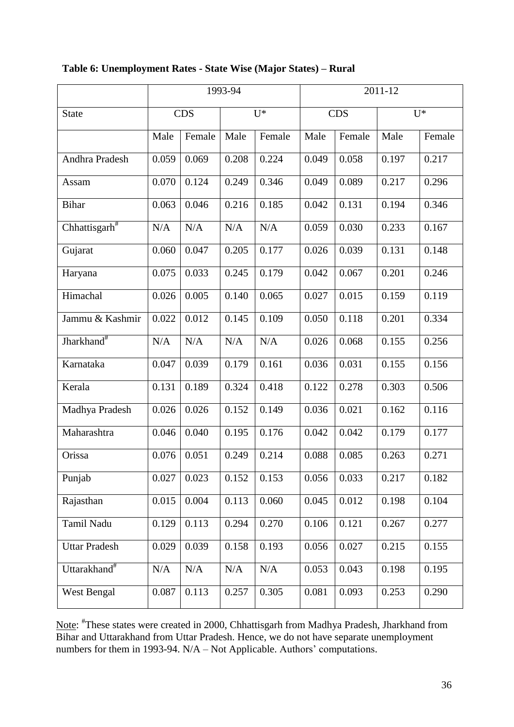|                           |       |            | 1993-94   |        | 2011-12 |            |       |        |  |
|---------------------------|-------|------------|-----------|--------|---------|------------|-------|--------|--|
| <b>State</b>              |       | <b>CDS</b> |           | $U^*$  |         | <b>CDS</b> |       | $U^*$  |  |
|                           | Male  | Female     | Male      | Female | Male    | Female     | Male  | Female |  |
| Andhra Pradesh            | 0.059 | 0.069      | 0.208     | 0.224  | 0.049   | 0.058      | 0.197 | 0.217  |  |
| Assam                     | 0.070 | 0.124      | 0.249     | 0.346  | 0.049   | 0.089      | 0.217 | 0.296  |  |
| <b>Bihar</b>              | 0.063 | 0.046      | 0.216     | 0.185  | 0.042   | 0.131      | 0.194 | 0.346  |  |
| Chhattisgarh <sup>#</sup> | N/A   | N/A        | N/A       | N/A    | 0.059   | 0.030      | 0.233 | 0.167  |  |
| Gujarat                   | 0.060 | 0.047      | 0.205     | 0.177  | 0.026   | 0.039      | 0.131 | 0.148  |  |
| Haryana                   | 0.075 | 0.033      | 0.245     | 0.179  | 0.042   | 0.067      | 0.201 | 0.246  |  |
| Himachal                  | 0.026 | 0.005      | 0.140     | 0.065  | 0.027   | 0.015      | 0.159 | 0.119  |  |
| Jammu & Kashmir           | 0.022 | 0.012      | 0.145     | 0.109  | 0.050   | 0.118      | 0.201 | 0.334  |  |
| Jharkhand <sup>#</sup>    | N/A   | N/A        | N/A       | N/A    | 0.026   | 0.068      | 0.155 | 0.256  |  |
| Karnataka                 | 0.047 | 0.039      | 0.179     | 0.161  | 0.036   | 0.031      | 0.155 | 0.156  |  |
| Kerala                    | 0.131 | 0.189      | 0.324     | 0.418  | 0.122   | 0.278      | 0.303 | 0.506  |  |
| Madhya Pradesh            | 0.026 | 0.026      | 0.152     | 0.149  | 0.036   | 0.021      | 0.162 | 0.116  |  |
| Maharashtra               | 0.046 | 0.040      | 0.195     | 0.176  | 0.042   | 0.042      | 0.179 | 0.177  |  |
| Orissa                    | 0.076 | 0.051      | 0.249     | 0.214  | 0.088   | 0.085      | 0.263 | 0.271  |  |
| Punjab                    | 0.027 | 0.023      | 0.152     | 0.153  | 0.056   | 0.033      | 0.217 | 0.182  |  |
| Rajasthan                 | 0.015 | 0.004      | 0.113     | 0.060  | 0.045   | 0.012      | 0.198 | 0.104  |  |
| Tamil Nadu                | 0.129 | 0.113      | 0.294     | 0.270  | 0.106   | 0.121      | 0.267 | 0.277  |  |
| <b>Uttar Pradesh</b>      | 0.029 | 0.039      | 0.158     | 0.193  | 0.056   | 0.027      | 0.215 | 0.155  |  |
| Uttarakhand <sup>#</sup>  | N/A   | $\rm N/A$  | $\rm N/A$ | N/A    | 0.053   | 0.043      | 0.198 | 0.195  |  |
| <b>West Bengal</b>        | 0.087 | 0.113      | 0.257     | 0.305  | 0.081   | 0.093      | 0.253 | 0.290  |  |
|                           |       |            |           |        |         |            |       |        |  |

## **Table 6: Unemployment Rates - State Wise (Major States) – Rural**

Note: <sup>#</sup>These states were created in 2000, Chhattisgarh from Madhya Pradesh, Jharkhand from Bihar and Uttarakhand from Uttar Pradesh. Hence, we do not have separate unemployment numbers for them in 1993-94.  $N/A - Not$  Applicable. Authors' computations.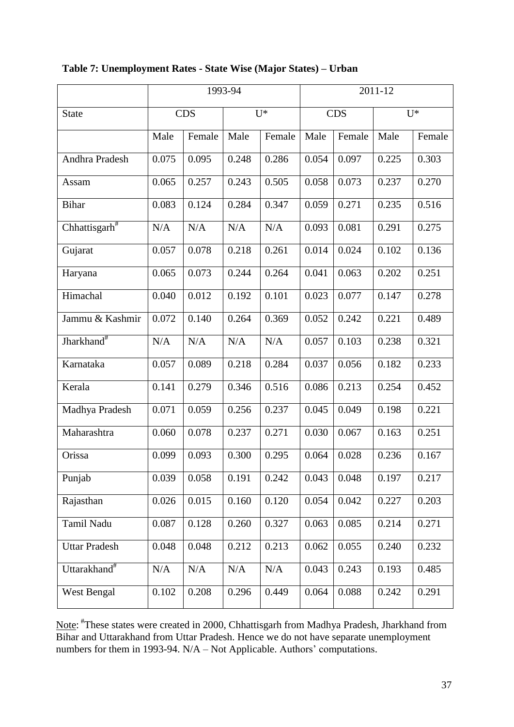|                           |       | 1993-94    |           |        |       |            | 2011-12 |        |  |  |
|---------------------------|-------|------------|-----------|--------|-------|------------|---------|--------|--|--|
| <b>State</b>              |       | <b>CDS</b> |           | $U^*$  |       | <b>CDS</b> |         | $U^*$  |  |  |
|                           | Male  | Female     | Male      | Female | Male  | Female     | Male    | Female |  |  |
| Andhra Pradesh            | 0.075 | 0.095      | 0.248     | 0.286  | 0.054 | 0.097      | 0.225   | 0.303  |  |  |
| Assam                     | 0.065 | 0.257      | 0.243     | 0.505  | 0.058 | 0.073      | 0.237   | 0.270  |  |  |
| <b>Bihar</b>              | 0.083 | 0.124      | 0.284     | 0.347  | 0.059 | 0.271      | 0.235   | 0.516  |  |  |
| Chhattisgarh <sup>#</sup> | N/A   | N/A        | N/A       | N/A    | 0.093 | 0.081      | 0.291   | 0.275  |  |  |
| Gujarat                   | 0.057 | 0.078      | 0.218     | 0.261  | 0.014 | 0.024      | 0.102   | 0.136  |  |  |
| Haryana                   | 0.065 | 0.073      | 0.244     | 0.264  | 0.041 | 0.063      | 0.202   | 0.251  |  |  |
| Himachal                  | 0.040 | 0.012      | 0.192     | 0.101  | 0.023 | 0.077      | 0.147   | 0.278  |  |  |
| Jammu & Kashmir           | 0.072 | 0.140      | 0.264     | 0.369  | 0.052 | 0.242      | 0.221   | 0.489  |  |  |
| Jharkhand <sup>#</sup>    | N/A   | N/A        | N/A       | N/A    | 0.057 | 0.103      | 0.238   | 0.321  |  |  |
| Karnataka                 | 0.057 | 0.089      | 0.218     | 0.284  | 0.037 | 0.056      | 0.182   | 0.233  |  |  |
| Kerala                    | 0.141 | 0.279      | 0.346     | 0.516  | 0.086 | 0.213      | 0.254   | 0.452  |  |  |
| Madhya Pradesh            | 0.071 | 0.059      | 0.256     | 0.237  | 0.045 | 0.049      | 0.198   | 0.221  |  |  |
| Maharashtra               | 0.060 | 0.078      | 0.237     | 0.271  | 0.030 | 0.067      | 0.163   | 0.251  |  |  |
| Orissa                    | 0.099 | 0.093      | 0.300     | 0.295  | 0.064 | 0.028      | 0.236   | 0.167  |  |  |
| Punjab                    | 0.039 | 0.058      | 0.191     | 0.242  | 0.043 | 0.048      | 0.197   | 0.217  |  |  |
| Rajasthan                 | 0.026 | 0.015      | 0.160     | 0.120  | 0.054 | 0.042      | 0.227   | 0.203  |  |  |
| Tamil Nadu                | 0.087 | 0.128      | 0.260     | 0.327  | 0.063 | 0.085      | 0.214   | 0.271  |  |  |
| <b>Uttar Pradesh</b>      | 0.048 | 0.048      | 0.212     | 0.213  | 0.062 | 0.055      | 0.240   | 0.232  |  |  |
| Uttarakhand <sup>#</sup>  | N/A   | N/A        | $\rm N/A$ | N/A    | 0.043 | 0.243      | 0.193   | 0.485  |  |  |
| West Bengal               | 0.102 | 0.208      | 0.296     | 0.449  | 0.064 | 0.088      | 0.242   | 0.291  |  |  |

# **Table 7: Unemployment Rates - State Wise (Major States) – Urban**

Note: <sup>#</sup>These states were created in 2000, Chhattisgarh from Madhya Pradesh, Jharkhand from Bihar and Uttarakhand from Uttar Pradesh. Hence we do not have separate unemployment numbers for them in 1993-94.  $N/A - Not$  Applicable. Authors' computations.